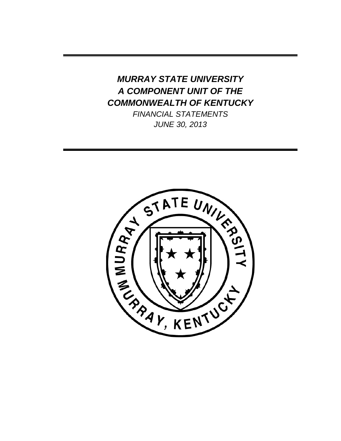# *MURRAY STATE UNIVERSITY A COMPONENT UNIT OF THE COMMONWEALTH OF KENTUCKY*

*FINANCIAL STATEMENTS JUNE 30, 2013*

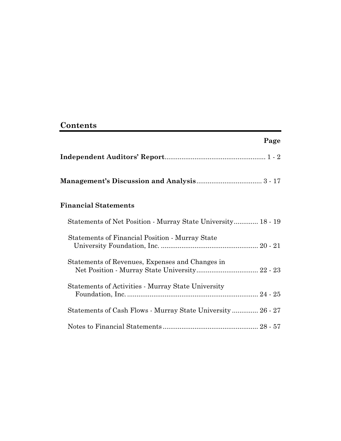# **Contents**

| Page                                                                                              |  |
|---------------------------------------------------------------------------------------------------|--|
|                                                                                                   |  |
|                                                                                                   |  |
| <b>Financial Statements</b>                                                                       |  |
| Statements of Net Position - Murray State University 18 - 19                                      |  |
| Statements of Financial Position - Murray State                                                   |  |
| Statements of Revenues, Expenses and Changes in<br>Net Position - Murray State University 22 - 23 |  |
| <b>Statements of Activities - Murray State University</b>                                         |  |
| Statements of Cash Flows - Murray State University  26 - 27                                       |  |
|                                                                                                   |  |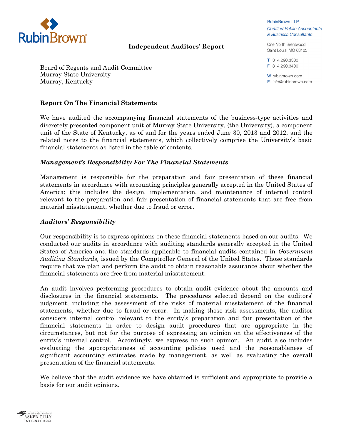

#### **Independent Auditors' Report**

**RubinBrown LLP Certified Public Accountants** & Business Consultants

One North Brentwood Saint Louis, MO 63105

T 314.290.3300 F 314,290,3400

W rubinbrown.com E info@rubinbrown.com

Board of Regents and Audit Committee Murray State University Murray, Kentucky

#### **Report On The Financial Statements**

We have audited the accompanying financial statements of the business-type activities and discretely presented component unit of Murray State University, (the University), a component unit of the State of Kentucky, as of and for the years ended June 30, 2013 and 2012, and the related notes to the financial statements, which collectively comprise the University's basic financial statements as listed in the table of contents.

#### *Management's Responsibility For The Financial Statements*

Management is responsible for the preparation and fair presentation of these financial statements in accordance with accounting principles generally accepted in the United States of America; this includes the design, implementation, and maintenance of internal control relevant to the preparation and fair presentation of financial statements that are free from material misstatement, whether due to fraud or error.

#### *Auditors' Responsibility*

Our responsibility is to express opinions on these financial statements based on our audits. We conducted our audits in accordance with auditing standards generally accepted in the United States of America and the standards applicable to financial audits contained in *Government Auditing Standards,* issued by the Comptroller General of the United States. Those standards require that we plan and perform the audit to obtain reasonable assurance about whether the financial statements are free from material misstatement.

An audit involves performing procedures to obtain audit evidence about the amounts and disclosures in the financial statements. The procedures selected depend on the auditors' judgment, including the assessment of the risks of material misstatement of the financial statements, whether due to fraud or error. In making those risk assessments, the auditor considers internal control relevant to the entity's preparation and fair presentation of the financial statements in order to design audit procedures that are appropriate in the circumstances, but not for the purpose of expressing an opinion on the effectiveness of the entity's internal control. Accordingly, we express no such opinion. An audit also includes evaluating the appropriateness of accounting policies used and the reasonableness of significant accounting estimates made by management, as well as evaluating the overall presentation of the financial statements.

We believe that the audit evidence we have obtained is sufficient and appropriate to provide a basis for our audit opinions.

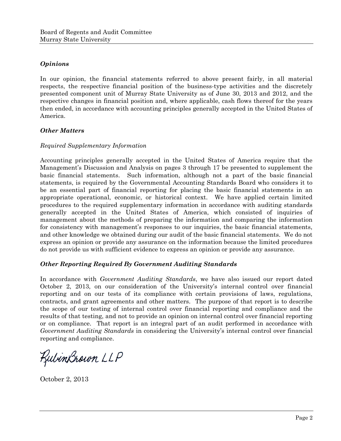### *Opinions*

In our opinion, the financial statements referred to above present fairly, in all material respects, the respective financial position of the business-type activities and the discretely presented component unit of Murray State University as of June 30, 2013 and 2012, and the respective changes in financial position and, where applicable, cash flows thereof for the years then ended, in accordance with accounting principles generally accepted in the United States of America.

### *Other Matters*

#### *Required Supplementary Information*

Accounting principles generally accepted in the United States of America require that the Management's Discussion and Analysis on pages 3 through 17 be presented to supplement the basic financial statements. Such information, although not a part of the basic financial statements, is required by the Governmental Accounting Standards Board who considers it to be an essential part of financial reporting for placing the basic financial statements in an appropriate operational, economic, or historical context. We have applied certain limited procedures to the required supplementary information in accordance with auditing standards generally accepted in the United States of America, which consisted of inquiries of management about the methods of preparing the information and comparing the information for consistency with management's responses to our inquiries, the basic financial statements, and other knowledge we obtained during our audit of the basic financial statements. We do not express an opinion or provide any assurance on the information because the limited procedures do not provide us with sufficient evidence to express an opinion or provide any assurance.

### *Other Reporting Required By Government Auditing Standards*

In accordance with *Government Auditing Standards*, we have also issued our report dated October 2, 2013, on our consideration of the University's internal control over financial reporting and on our tests of its compliance with certain provisions of laws, regulations, contracts, and grant agreements and other matters. The purpose of that report is to describe the scope of our testing of internal control over financial reporting and compliance and the results of that testing, and not to provide an opinion on internal control over financial reporting or on compliance. That report is an integral part of an audit performed in accordance with *Government Auditing Standards* in considering the University's internal control over financial reporting and compliance.

KulinBrown LLP

October 2, 2013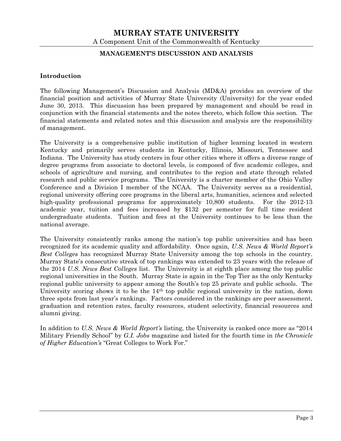#### **MANAGEMENT'S DISCUSSION AND ANALYSIS**

#### **Introduction**

The following Management's Discussion and Analysis (MD&A) provides an overview of the financial position and activities of Murray State University (University) for the year ended June 30, 2013. This discussion has been prepared by management and should be read in conjunction with the financial statements and the notes thereto, which follow this section. The financial statements and related notes and this discussion and analysis are the responsibility of management.

The University is a comprehensive public institution of higher learning located in western Kentucky and primarily serves students in Kentucky, Illinois, Missouri, Tennessee and Indiana. The University has study centers in four other cities where it offers a diverse range of degree programs from associate to doctoral levels, is composed of five academic colleges, and schools of agriculture and nursing, and contributes to the region and state through related research and public service programs. The University is a charter member of the Ohio Valley Conference and a Division I member of the NCAA. The University serves as a residential, regional university offering core programs in the liberal arts, humanities, sciences and selected high-quality professional programs for approximately 10,800 students. For the 2012-13 academic year, tuition and fees increased by \$132 per semester for full time resident undergraduate students. Tuition and fees at the University continues to be less than the national average.

The University consistently ranks among the nation's top public universities and has been recognized for its academic quality and affordability. Once again, *U.S. News & World Report's Best Colleges* has recognized Murray State University among the top schools in the country. Murray State's consecutive streak of top rankings was extended to 23 years with the release of the 2014 *U.S. News Best Colleges* list. The University is at eighth place among the top public regional universities in the South. Murray State is again in the Top Tier as the only Kentucky regional public university to appear among the South's top 25 private and public schools. The University scoring shows it to be the  $14<sup>th</sup>$  top public regional university in the nation, down three spots from last year's rankings. Factors considered in the rankings are peer assessment, graduation and retention rates, faculty resources, student selectivity, financial resources and alumni giving.

In addition to *U.S. News & World Report's* listing, the University is ranked once more as "2014 Military Friendly School" by *G.I. Jobs* magazine and listed for the fourth time in *the Chronicle of Higher Education's* "Great Colleges to Work For."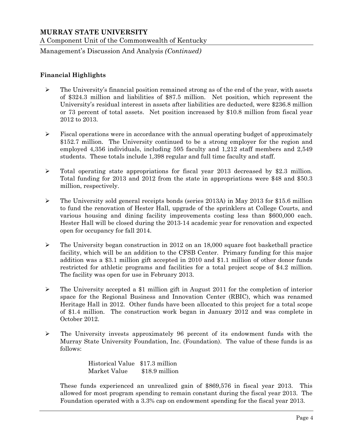Management's Discussion And Analysis *(Continued)*

#### **Financial Highlights**

- $\triangleright$  The University's financial position remained strong as of the end of the year, with assets of \$324.3 million and liabilities of \$87.5 million. Net position, which represent the University's residual interest in assets after liabilities are deducted, were \$236.8 million or 73 percent of total assets. Net position increased by \$10.8 million from fiscal year 2012 to 2013.
- $\triangleright$  Fiscal operations were in accordance with the annual operating budget of approximately \$152.7 million. The University continued to be a strong employer for the region and employed 4,356 individuals, including 595 faculty and 1,212 staff members and 2,549 students. These totals include 1,398 regular and full time faculty and staff.
- Total operating state appropriations for fiscal year 2013 decreased by \$2.3 million. Total funding for 2013 and 2012 from the state in appropriations were \$48 and \$50.3 million, respectively.
- $\triangleright$  The University sold general receipts bonds (series 2013A) in May 2013 for \$15.6 million to fund the renovation of Hester Hall, upgrade of the sprinklers at College Courts, and various housing and dining facility improvements costing less than \$600,000 each. Hester Hall will be closed during the 2013-14 academic year for renovation and expected open for occupancy for fall 2014.
- $\triangleright$  The University began construction in 2012 on an 18,000 square foot basketball practice facility, which will be an addition to the CFSB Center. Primary funding for this major addition was a \$3.1 million gift accepted in 2010 and \$1.1 million of other donor funds restricted for athletic programs and facilities for a total project scope of \$4.2 million. The facility was open for use in February 2013.
- $\triangleright$  The University accepted a \$1 million gift in August 2011 for the completion of interior space for the Regional Business and Innovation Center (RBIC), which was renamed Heritage Hall in 2012. Other funds have been allocated to this project for a total scope of \$1.4 million. The construction work began in January 2012 and was complete in October 2012.
- $\triangleright$  The University invests approximately 96 percent of its endowment funds with the Murray State University Foundation, Inc. (Foundation). The value of these funds is as follows:

Historical Value \$17.3 million Market Value \$18.9 million

These funds experienced an unrealized gain of \$869,576 in fiscal year 2013. This allowed for most program spending to remain constant during the fiscal year 2013. The Foundation operated with a 3.3% cap on endowment spending for the fiscal year 2013.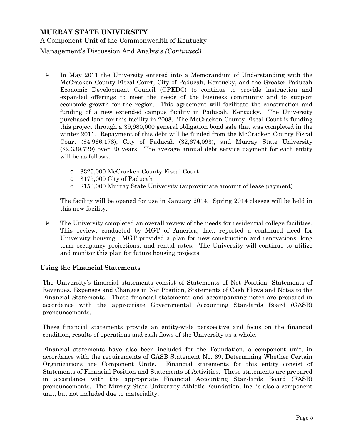Management's Discussion And Analysis *(Continued)*

- $\triangleright$  In May 2011 the University entered into a Memorandum of Understanding with the McCracken County Fiscal Court, City of Paducah, Kentucky, and the Greater Paducah Economic Development Council (GPEDC) to continue to provide instruction and expanded offerings to meet the needs of the business community and to support economic growth for the region. This agreement will facilitate the construction and funding of a new extended campus facility in Paducah, Kentucky. The University purchased land for this facility in 2008. The McCracken County Fiscal Court is funding this project through a \$9,980,000 general obligation bond sale that was completed in the winter 2011. Repayment of this debt will be funded from the McCracken County Fiscal Court (\$4,966,178), City of Paducah (\$2,674,093), and Murray State University (\$2,339,729) over 20 years. The average annual debt service payment for each entity will be as follows:
	- o \$325,000 McCracken County Fiscal Court
	- o \$175,000 City of Paducah
	- o \$153,000 Murray State University (approximate amount of lease payment)

The facility will be opened for use in January 2014. Spring 2014 classes will be held in this new facility.

 $\triangleright$  The University completed an overall review of the needs for residential college facilities. This review, conducted by MGT of America, Inc., reported a continued need for University housing. MGT provided a plan for new construction and renovations, long term occupancy projections, and rental rates. The University will continue to utilize and monitor this plan for future housing projects.

### **Using the Financial Statements**

The University's financial statements consist of Statements of Net Position, Statements of Revenues, Expenses and Changes in Net Position, Statements of Cash Flows and Notes to the Financial Statements. These financial statements and accompanying notes are prepared in accordance with the appropriate Governmental Accounting Standards Board (GASB) pronouncements.

These financial statements provide an entity-wide perspective and focus on the financial condition, results of operations and cash flows of the University as a whole.

Financial statements have also been included for the Foundation, a component unit, in accordance with the requirements of GASB Statement No. 39, Determining Whether Certain Organizations are Component Units. Financial statements for this entity consist of Statements of Financial Position and Statements of Activities. These statements are prepared in accordance with the appropriate Financial Accounting Standards Board (FASB) pronouncements. The Murray State University Athletic Foundation, Inc. is also a component unit, but not included due to materiality.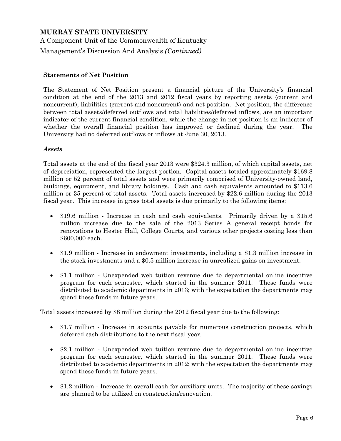Management's Discussion And Analysis *(Continued)*

#### **Statements of Net Position**

The Statement of Net Position present a financial picture of the University's financial condition at the end of the 2013 and 2012 fiscal years by reporting assets (current and noncurrent), liabilities (current and noncurrent) and net position. Net position, the difference between total assets/deferred outflows and total liabilities/deferred inflows, are an important indicator of the current financial condition, while the change in net position is an indicator of whether the overall financial position has improved or declined during the year. The University had no deferred outflows or inflows at June 30, 2013.

#### *Assets*

Total assets at the end of the fiscal year 2013 were \$324.3 million, of which capital assets, net of depreciation, represented the largest portion. Capital assets totaled approximately \$169.8 million or 52 percent of total assets and were primarily comprised of University-owned land, buildings, equipment, and library holdings. Cash and cash equivalents amounted to \$113.6 million or 35 percent of total assets. Total assets increased by \$22.6 million during the 2013 fiscal year. This increase in gross total assets is due primarily to the following items:

- \$19.6 million Increase in cash and cash equivalents. Primarily driven by a \$15.6 million increase due to the sale of the 2013 Series A general receipt bonds for renovations to Hester Hall, College Courts, and various other projects costing less than \$600,000 each.
- \$1.9 million Increase in endowment investments, including a \$1.3 million increase in the stock investments and a \$0.5 million increase in unrealized gains on investment.
- \$1.1 million Unexpended web tuition revenue due to departmental online incentive program for each semester, which started in the summer 2011. These funds were distributed to academic departments in 2013; with the expectation the departments may spend these funds in future years.

Total assets increased by \$8 million during the 2012 fiscal year due to the following:

- \$1.7 million Increase in accounts payable for numerous construction projects, which deferred cash distributions to the next fiscal year.
- \$2.1 million Unexpended web tuition revenue due to departmental online incentive program for each semester, which started in the summer 2011. These funds were distributed to academic departments in 2012; with the expectation the departments may spend these funds in future years.
- \$1.2 million Increase in overall cash for auxiliary units. The majority of these savings are planned to be utilized on construction/renovation.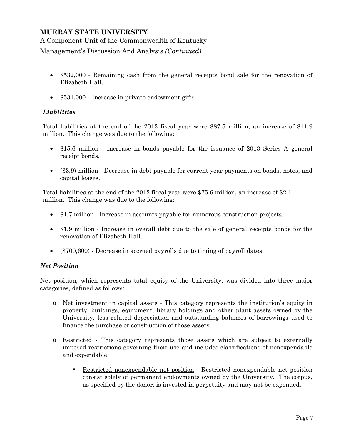A Component Unit of the Commonwealth of Kentucky

Management's Discussion And Analysis *(Continued)*

- \$532,000 Remaining cash from the general receipts bond sale for the renovation of Elizabeth Hall.
- \$531,000 Increase in private endowment gifts.

#### *Liabilities*

Total liabilities at the end of the 2013 fiscal year were \$87.5 million, an increase of \$11.9 million. This change was due to the following:

- \$15.6 million Increase in bonds payable for the issuance of 2013 Series A general receipt bonds.
- (\$3.9) million Decrease in debt payable for current year payments on bonds, notes, and capital leases.

Total liabilities at the end of the 2012 fiscal year were \$75.6 million, an increase of \$2.1 million. This change was due to the following:

- \$1.7 million Increase in accounts payable for numerous construction projects.
- \$1.9 million Increase in overall debt due to the sale of general receipts bonds for the renovation of Elizabeth Hall.
- (\$700,600) Decrease in accrued payrolls due to timing of payroll dates.

### *Net Position*

Net position, which represents total equity of the University, was divided into three major categories, defined as follows:

- o Net investment in capital assets This category represents the institution's equity in property, buildings, equipment, library holdings and other plant assets owned by the University, less related depreciation and outstanding balances of borrowings used to finance the purchase or construction of those assets.
- o Restricted This category represents those assets which are subject to externally imposed restrictions governing their use and includes classifications of nonexpendable and expendable.
	- **Restricted nonexpendable net position** Restricted nonexpendable net position consist solely of permanent endowments owned by the University. The corpus, as specified by the donor, is invested in perpetuity and may not be expended.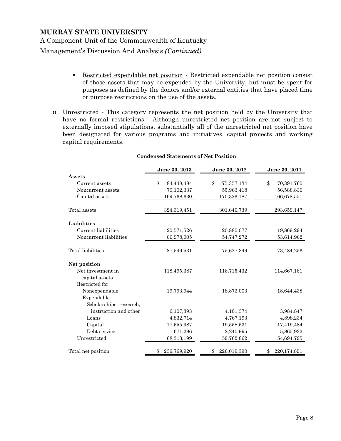Management's Discussion And Analysis *(Continued)*

- Restricted expendable net position Restricted expendable net position consist of those assets that may be expended by the University, but must be spent for purposes as defined by the donors and/or external entities that have placed time or purpose restrictions on the use of the assets.
- o Unrestricted This category represents the net position held by the University that have no formal restrictions. Although unrestricted net position are not subject to externally imposed stipulations, substantially all of the unrestricted net position have been designated for various programs and initiatives, capital projects and working capital requirements.

|                         | June 30, 2013     | June 30, 2012      | June 30, 2011    |
|-------------------------|-------------------|--------------------|------------------|
| <b>Assets</b>           |                   |                    |                  |
| Current assets          | \$<br>84,448,484  | \$<br>75, 357, 134 | \$<br>70,391,760 |
| Noncurrent assets       | 70,102,337        | 55,963,418         | 56,588,836       |
| Capital assets          | 169,768,630       | 170,326,187        | 166,678,551      |
| Total assets            | 324,319,451       | 301,646,739        | 293,659,147      |
| Liabilities             |                   |                    |                  |
| Current liabilities     | 20,571,526        | 20,880,077         | 19,869,294       |
| Noncurrent liabilities  | 66,978,005        | 54,747,272         | 53,614,962       |
| Total liabilities       | 87,549,531        | 75,627,349         | 73,484,256       |
| Net position            |                   |                    |                  |
| Net investment in       | 118,495,387       | 116,715,432        | 114,667,161      |
| capital assets          |                   |                    |                  |
| Restricted for          |                   |                    |                  |
| Nonexpendable           | 19,793,944        | 18,873,003         | 18,644,438       |
| Expendable              |                   |                    |                  |
| Scholarships, research, |                   |                    |                  |
| instruction and other   | 6,107,393         | 4,101,374          | 3,984,847        |
| Loans                   | 4,832,714         | 4,767,193          | 4,898,234        |
| Capital                 | 17,555,987        | 19,558,531         | 17,419,484       |
| Debt service            | 1,671,296         | 2,240,995          | 5,865,932        |
| Unrestricted            | 68,313,199        | 59,762,862         | 54,694,795       |
| Total net position      | 236,769,920<br>\$ | 226,019,390        | 220,174,891      |

#### **Condensed Statements of Net Position**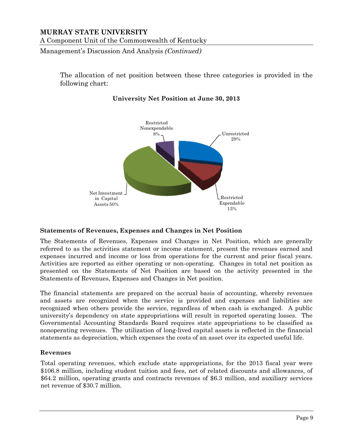A Component Unit of the Commonwealth of Kentucky

Management's Discussion And Analysis *(Continued)*

The allocation of net position between these three categories is provided in the following chart:



## **University Net Position at June 30, 2013**

#### **Statements of Revenues, Expenses and Changes in Net Position**

The Statements of Revenues, Expenses and Changes in Net Position, which are generally referred to as the activities statement or income statement, present the revenues earned and expenses incurred and income or loss from operations for the current and prior fiscal years. Activities are reported as either operating or non-operating. Changes in total net position as presented on the Statements of Net Position are based on the activity presented in the Statements of Revenues, Expenses and Changes in Net position.

The financial statements are prepared on the accrual basis of accounting, whereby revenues and assets are recognized when the service is provided and expenses and liabilities are recognized when others provide the service, regardless of when cash is exchanged. A public university's dependency on state appropriations will result in reported operating losses. The Governmental Accounting Standards Board requires state appropriations to be classified as nonoperating revenues. The utilization of long-lived capital assets is reflected in the financial statements as depreciation, which expenses the costs of an asset over its expected useful life.

### **Revenues**

Total operating revenues, which exclude state appropriations, for the 2013 fiscal year were \$106.8 million, including student tuition and fees, net of related discounts and allowances, of \$64.2 million, operating grants and contracts revenues of \$6.3 million, and auxiliary services net revenue of \$30.7 million.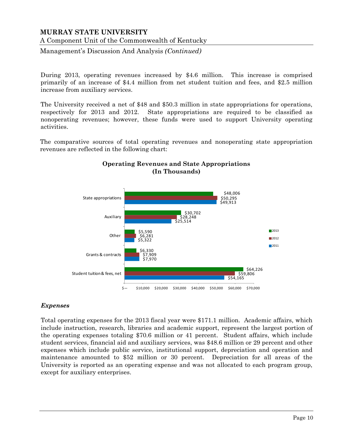A Component Unit of the Commonwealth of Kentucky

Management's Discussion And Analysis *(Continued)*

During 2013, operating revenues increased by \$4.6 million. This increase is comprised primarily of an increase of \$4.4 million from net student tuition and fees, and \$2.5 million increase from auxiliary services.

The University received a net of \$48 and \$50.3 million in state appropriations for operations, respectively for 2013 and 2012. State appropriations are required to be classified as nonoperating revenues; however, these funds were used to support University operating activities.

The comparative sources of total operating revenues and nonoperating state appropriation revenues are reflected in the following chart:



### **Operating Revenues and State Appropriations (In Thousands)**

#### *Expenses*

Total operating expenses for the 2013 fiscal year were \$171.1 million. Academic affairs, which include instruction, research, libraries and academic support, represent the largest portion of the operating expenses totaling \$70.6 million or 41 percent. Student affairs, which include student services, financial aid and auxiliary services, was \$48.6 million or 29 percent and other expenses which include public service, institutional support, depreciation and operation and maintenance amounted to \$52 million or 30 percent. Depreciation for all areas of the University is reported as an operating expense and was not allocated to each program group, except for auxiliary enterprises.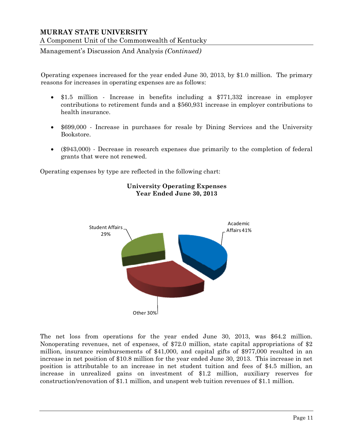A Component Unit of the Commonwealth of Kentucky

Management's Discussion And Analysis *(Continued)*

Operating expenses increased for the year ended June 30, 2013, by \$1.0 million. The primary reasons for increases in operating expenses are as follows:

- \$1.5 million Increase in benefits including a \$771,332 increase in employer contributions to retirement funds and a \$560,931 increase in employer contributions to health insurance.
- \$699,000 Increase in purchases for resale by Dining Services and the University Bookstore.
- (\$943,000) Decrease in research expenses due primarily to the completion of federal grants that were not renewed.

Operating expenses by type are reflected in the following chart:



### **University Operating Expenses Year Ended June 30, 2013**

The net loss from operations for the year ended June 30, 2013, was \$64.2 million. Nonoperating revenues, net of expenses, of \$72.0 million, state capital appropriations of \$2 million, insurance reimbursements of \$41,000, and capital gifts of \$977,000 resulted in an increase in net position of \$10.8 million for the year ended June 30, 2013. This increase in net position is attributable to an increase in net student tuition and fees of \$4.5 million, an increase in unrealized gains on investment of \$1.2 million, auxiliary reserves for construction/renovation of \$1.1 million, and unspent web tuition revenues of \$1.1 million.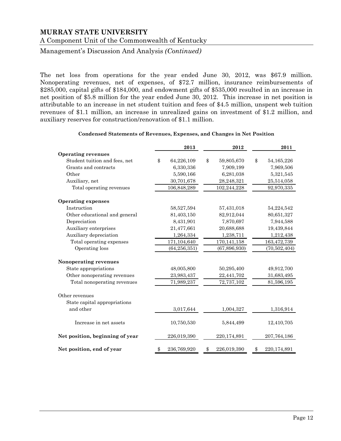A Component Unit of the Commonwealth of Kentucky

Management's Discussion And Analysis *(Continued)*

The net loss from operations for the year ended June 30, 2012, was \$67.9 million. Nonoperating revenues, net of expenses, of \$72.7 million, insurance reimbursements of \$285,000, capital gifts of \$184,000, and endowment gifts of \$535,000 resulted in an increase in net position of \$5.8 million for the year ended June 30, 2012. This increase in net position is attributable to an increase in net student tuition and fees of \$4.5 million, unspent web tuition revenues of \$1.1 million, an increase in unrealized gains on investment of \$1.2 million, and auxiliary reserves for construction/renovation of \$1.1 million.

#### **Condensed Statements of Revenues, Expenses, and Changes in Net Position**

|                                 | 2013              | 2012 |                | 2011              |
|---------------------------------|-------------------|------|----------------|-------------------|
| <b>Operating revenues</b>       |                   |      |                |                   |
| Student tuition and fees, net   | \$<br>64,226,109  | \$   | 59,805,670     | \$<br>54,165,226  |
| Grants and contracts            | 6,330,336         |      | 7,909,199      | 7,969,506         |
| Other                           | 5,590,166         |      | 6,281,038      | 5,321,545         |
| Auxiliary, net                  | 30,701,678        |      | 28,248,321     | 25,514,058        |
| Total operating revenues        | 106,848,289       |      | 102,244,228    | 92,970,335        |
| <b>Operating expenses</b>       |                   |      |                |                   |
| Instruction                     | 58,527,594        |      | 57,431,018     | 54,224,542        |
| Other educational and general   | 81,403,150        |      | 82,912,044     | 80,651,327        |
| Depreciation                    | 8,431,901         |      | 7,870,697      | 7,944,588         |
| Auxiliary enterprises           | 21,477,661        |      | 20,688,688     | 19,439,844        |
| Auxiliary depreciation          | 1,264,334         |      | 1,238,711      | 1,212,438         |
| Total operating expenses        | 171,104,640       |      | 170,141,158    | 163,472,739       |
| Operating loss                  | (64, 256, 351)    |      | (67, 896, 930) | (70, 502, 404)    |
| Nonoperating revenues           |                   |      |                |                   |
| State appropriations            | 48,005,800        |      | 50,295,400     | 49,912,700        |
| Other nonoperating revenues     | 23,983,437        |      | 22,441,702     | 31,683,495        |
| Total nonoperating revenues     | 71,989,237        |      | 72,737,102     | 81,596,195        |
| Other revenues                  |                   |      |                |                   |
| State capital appropriations    |                   |      |                |                   |
| and other                       | 3,017,644         |      | 1,004,327      | 1,316,914         |
| Increase in net assets          | 10,750,530        |      | 5,844,499      | 12,410,705        |
| Net position, beginning of year | 226,019,390       |      | 220,174,891    | 207,764,186       |
| Net position, end of year       | \$<br>236,769,920 | \$   | 226,019,390    | \$<br>220,174,891 |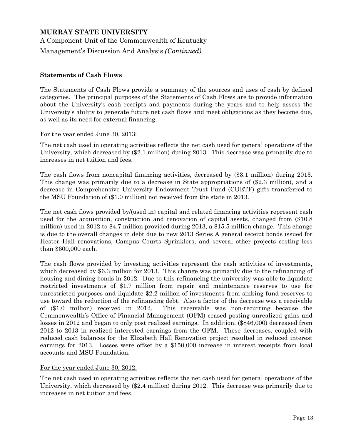A Component Unit of the Commonwealth of Kentucky

Management's Discussion And Analysis *(Continued)*

#### **Statements of Cash Flows**

The Statements of Cash Flows provide a summary of the sources and uses of cash by defined categories. The principal purposes of the Statements of Cash Flows are to provide information about the University's cash receipts and payments during the years and to help assess the University's ability to generate future net cash flows and meet obligations as they become due, as well as its need for external financing.

#### For the year ended June 30, 2013:

The net cash used in operating activities reflects the net cash used for general operations of the University, which decreased by (\$2.1 million) during 2013. This decrease was primarily due to increases in net tuition and fees.

The cash flows from noncapital financing activities, decreased by (\$3.1 million) during 2013. This change was primarily due to a decrease in State appropriations of (\$2.3 million), and a decrease in Comprehensive University Endowment Trust Fund (CUETF) gifts transferred to the MSU Foundation of (\$1.0 million) not received from the state in 2013.

The net cash flows provided by/(used in) capital and related financing activities represent cash used for the acquisition, construction and renovation of capital assets, changed from (\$10.8 million) used in 2012 to \$4.7 million provided during 2013, a \$15.5 million change. This change is due to the overall changes in debt due to new 2013 Series A general receipt bonds issued for Hester Hall renovations, Campus Courts Sprinklers, and several other projects costing less than \$600,000 each.

The cash flows provided by investing activities represent the cash activities of investments, which decreased by \$6.3 million for 2013. This change was primarily due to the refinancing of housing and dining bonds in 2012. Due to this refinancing the university was able to liquidate restricted investments of \$1.7 million from repair and maintenance reserves to use for unrestricted purposes and liquidate \$2.2 million of investments from sinking fund reserves to use toward the reduction of the refinancing debt. Also a factor of the decrease was a receivable of (\$1.0 million) received in 2012. This receivable was non-recurring because the Commonwealth's Office of Financial Management (OFM) ceased posting unrealized gains and losses in 2012 and began to only post realized earnings. In addition, (\$846,000) decreased from 2012 to 2013 in realized interested earnings from the OFM. These decreases, coupled with reduced cash balances for the Elizabeth Hall Renovation project resulted in reduced interest earnings for 2013. Losses were offset by a \$150,000 increase in interest receipts from local accounts and MSU Foundation.

#### For the year ended June 30, 2012:

The net cash used in operating activities reflects the net cash used for general operations of the University, which decreased by (\$2.4 million) during 2012. This decrease was primarily due to increases in net tuition and fees.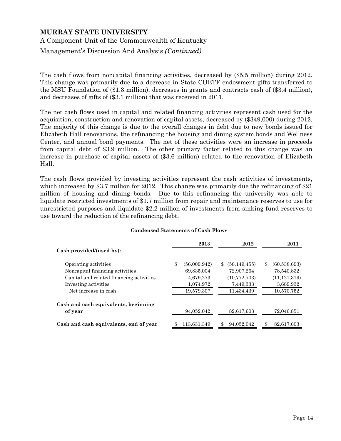A Component Unit of the Commonwealth of Kentucky

Management's Discussion And Analysis *(Continued)*

The cash flows from noncapital financing activities, decreased by (\$5.5 million) during 2012. This change was primarily due to a decrease in State CUETF endowment gifts transferred to the MSU Foundation of (\$1.3 million), decreases in grants and contracts cash of (\$3.4 million), and decreases of gifts of (\$3.1 million) that was received in 2011.

The net cash flows used in capital and related financing activities represent cash used for the acquisition, construction and renovation of capital assets, decreased by (\$349,000) during 2012. The majority of this change is due to the overall changes in debt due to new bonds issued for Elizabeth Hall renovations, the refinancing the housing and dining system bonds and Wellness Center, and annual bond payments. The net of these activities were an increase in proceeds from capital debt of \$3.9 million. The other primary factor related to this change was an increase in purchase of capital assets of (\$3.6 million) related to the renovation of Elizabeth Hall.

The cash flows provided by investing activities represent the cash activities of investments, which increased by \$3.7 million for 2012. This change was primarily due the refinancing of \$21 million of housing and dining bonds. Due to this refinancing the university was able to liquidate restricted investments of \$1.7 million from repair and maintenance reserves to use for unrestricted purposes and liquidate \$2.2 million of investments from sinking fund reserves to use toward the reduction of the refinancing debt.

#### **Condensed Statements of Cash Flows**

| Cash provided/(used by):                 | 2013               | 2012                            | 2011                 |
|------------------------------------------|--------------------|---------------------------------|----------------------|
| Operating activities                     | \$<br>(56,009,942) | (58, 149, 455)<br>$\mathcal{S}$ | \$<br>(60, 538, 693) |
| Noncapital financing activities          | 69,835,004         | 72,907,264                      | 78,540,832           |
| Capital and related financing activities | 4,679,273          | (10, 772, 703)                  | (11, 121, 319)       |
| Investing activities                     | 1,074,972          | 7,449,333                       | 3,689,932            |
| Net increase in cash                     | 19,579,307         | 11,434,439                      | 10,570,752           |
| Cash and cash equivalents, beginning     |                    |                                 |                      |
| of year                                  | 94,052,042         | 82,617,603                      | 72,046,851           |
| Cash and cash equivalents, end of year   | 113,631,349        | 94,052,042                      | 82,617,603           |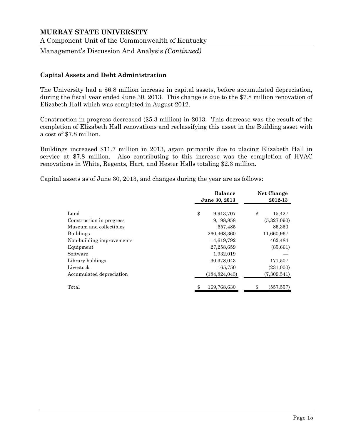A Component Unit of the Commonwealth of Kentucky

Management's Discussion And Analysis *(Continued)*

#### **Capital Assets and Debt Administration**

The University had a \$6.8 million increase in capital assets, before accumulated depreciation, during the fiscal year ended June 30, 2013. This change is due to the \$7.8 million renovation of Elizabeth Hall which was completed in August 2012.

Construction in progress decreased (\$5.3 million) in 2013. This decrease was the result of the completion of Elizabeth Hall renovations and reclassifying this asset in the Building asset with a cost of \$7.8 million.

Buildings increased \$11.7 million in 2013, again primarily due to placing Elizabeth Hall in service at \$7.8 million. Also contributing to this increase was the completion of HVAC renovations in White, Regents, Hart, and Hester Halls totaling \$2.3 million.

Capital assets as of June 30, 2013, and changes during the year are as follows:

|                           | <b>Balance</b><br>June 30, 2013 | Net Change<br>2012-13 |
|---------------------------|---------------------------------|-----------------------|
| Land                      | \$<br>9,913,707                 | \$<br>15,427          |
| Construction in progress  | 9,198,858                       | (5,327,090)           |
| Museum and collectibles   | 657,485                         | 85,350                |
| <b>Buildings</b>          | 260,468,360                     | 11,660,967            |
| Non-building improvements | 14,619,792                      | 462,484               |
| Equipment                 | 27,258,659                      | (85, 661)             |
| Software                  | 1,932,019                       |                       |
| Library holdings          | 30,378,043                      | 171,507               |
| Livestock                 | 165,750                         | (231,000)             |
| Accumulated depreciation  | (184, 824, 043)                 | (7,309,541)           |
| Total                     | 169,768,630                     | \$<br>(557, 557)      |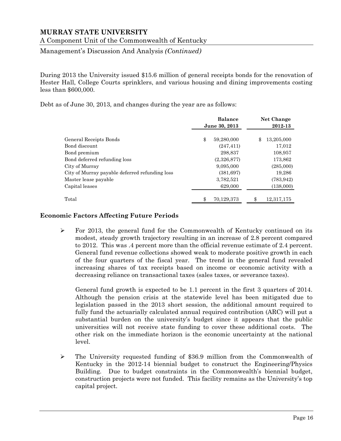A Component Unit of the Commonwealth of Kentucky

Management's Discussion And Analysis *(Continued)*

During 2013 the University issued \$15.6 million of general receipts bonds for the renovation of Hester Hall, College Courts sprinklers, and various housing and dining improvements costing less than \$600,000.

Debt as of June 30, 2013, and changes during the year are as follows:

|                                                | <b>Balance</b><br>June 30, 2013 | Net Change<br>2012-13 |            |  |
|------------------------------------------------|---------------------------------|-----------------------|------------|--|
| General Receipts Bonds                         | \$<br>59,280,000                | \$                    | 13,205,000 |  |
| Bond discount                                  | (247, 411)                      |                       | 17,012     |  |
| Bond premium                                   | 298,837                         |                       | 108,957    |  |
| Bond deferred refunding loss                   | (2,326,877)                     |                       | 173,862    |  |
| City of Murray                                 | 9,095,000                       |                       | (285,000)  |  |
| City of Murray payable deferred refunding loss | (381, 697)                      |                       | 19,286     |  |
| Master lease payable                           | 3,782,521                       |                       | (783, 942) |  |
| Capital leases                                 | 629,000                         |                       | (138,000)  |  |
| Total                                          | 70,129,373                      |                       | 12,317,175 |  |

#### **Economic Factors Affecting Future Periods**

 $\triangleright$  For 2013, the general fund for the Commonwealth of Kentucky continued on its modest, steady growth trajectory resulting in an increase of 2.8 percent compared to 2012. This was .4 percent more than the official revenue estimate of 2.4 percent. General fund revenue collections showed weak to moderate positive growth in each of the four quarters of the fiscal year. The trend in the general fund revealed increasing shares of tax receipts based on income or economic activity with a decreasing reliance on transactional taxes (sales taxes, or severance taxes).

General fund growth is expected to be 1.1 percent in the first 3 quarters of 2014. Although the pension crisis at the statewide level has been mitigated due to legislation passed in the 2013 short session, the additional amount required to fully fund the actuarially calculated annual required contribution (ARC) will put a substantial burden on the university's budget since it appears that the public universities will not receive state funding to cover these additional costs. The other risk on the immediate horizon is the economic uncertainty at the national level.

 $\triangleright$  The University requested funding of \$36.9 million from the Commonwealth of Kentucky in the 2012-14 biennial budget to construct the Engineering/Physics Building. Due to budget constraints in the Commonwealth's biennial budget, construction projects were not funded. This facility remains as the University's top capital project.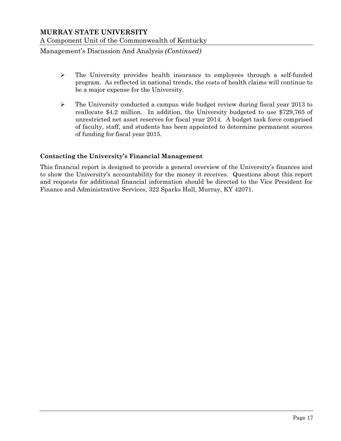Management's Discussion And Analysis *(Continued)*

- The University provides health insurance to employees through a self-funded program. As reflected in national trends, the costs of health claims will continue to be a major expense for the University.
- $\triangleright$  The University conducted a campus wide budget review during fiscal year 2013 to reallocate \$4.2 million. In addition, the University budgeted to use \$729,765 of unrestricted net asset reserves for fiscal year 2014. A budget task force comprised of faculty, staff, and students has been appointed to determine permanent sources of funding for fiscal year 2015.

# **Contacting the University's Financial Management**

This financial report is designed to provide a general overview of the University's finances and to show the University's accountability for the money it receives. Questions about this report and requests for additional financial information should be directed to the Vice President for Finance and Administrative Services, 322 Sparks Hall, Murray, KY 42071.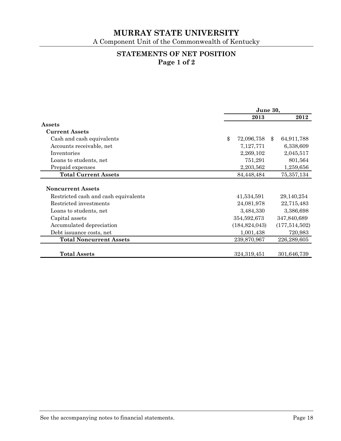A Component Unit of the Commonwealth of Kentucky

# **STATEMENTS OF NET POSITION Page 1 of 2**

|                                      | June 30, |                 |    |                 |
|--------------------------------------|----------|-----------------|----|-----------------|
|                                      |          | 2013            |    | 2012            |
| Assets                               |          |                 |    |                 |
| <b>Current Assets</b>                |          |                 |    |                 |
| Cash and cash equivalents            | \$       | 72,096,758      | \$ | 64,911,788      |
| Accounts receivable, net             |          | 7,127,771       |    | 6,338,609       |
| Inventories                          |          | 2,269,102       |    | 2,045,517       |
| Loans to students, net               |          | 751,291         |    | 801,564         |
| Prepaid expenses                     |          | 2,203,562       |    | 1,259,656       |
| <b>Total Current Assets</b>          |          | 84,448,484      |    | 75, 357, 134    |
| <b>Noncurrent Assets</b>             |          |                 |    |                 |
| Restricted cash and cash equivalents |          | 41,534,591      |    | 29,140,254      |
| Restricted investments               |          | 24,081,978      |    | 22,715,483      |
| Loans to students, net               |          | 3,484,330       |    | 3,386,698       |
| Capital assets                       |          | 354,592,673     |    | 347,840,689     |
| Accumulated depreciation             |          | (184, 824, 043) |    | (177, 514, 502) |
| Debt issuance costs, net             |          | 1,001,438       |    | 720,983         |
| <b>Total Noncurrent Assets</b>       |          | 239,870,967     |    | 226,289,605     |
| <b>Total Assets</b>                  |          | 324,319,451     |    | 301,646,739     |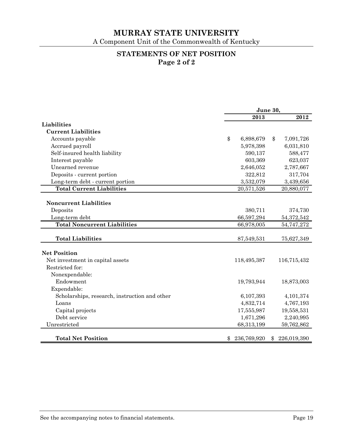A Component Unit of the Commonwealth of Kentucky

# **STATEMENTS OF NET POSITION Page 2 of 2**

|                                               | June 30, |             |    |             |
|-----------------------------------------------|----------|-------------|----|-------------|
|                                               |          | 2013        |    | 2012        |
| Liabilities                                   |          |             |    |             |
| <b>Current Liabilities</b>                    |          |             |    |             |
| Accounts payable                              | \$       | 6,898,679   | \$ | 7,091,726   |
| Accrued payroll                               |          | 5,978,398   |    | 6,031,810   |
| Self-insured health liability                 |          | 590,137     |    | 588,477     |
| Interest payable                              |          | 603,369     |    | 623,037     |
| Unearned revenue                              |          | 2,646,052   |    | 2,787,667   |
| Deposits - current portion                    |          | 322,812     |    | 317,704     |
| Long-term debt - current portion              |          | 3,532,079   |    | 3,439,656   |
| <b>Total Current Liabilities</b>              |          | 20,571,526  |    | 20,880,077  |
|                                               |          |             |    |             |
| <b>Noncurrent Liabilities</b>                 |          |             |    |             |
| Deposits                                      |          | 380,711     |    | 374,730     |
| Long-term debt                                |          | 66,597,294  |    | 54,372,542  |
| <b>Total Noncurrent Liabilities</b>           |          | 66,978,005  |    | 54,747,272  |
|                                               |          |             |    |             |
| <b>Total Liabilities</b>                      |          | 87,549,531  |    | 75,627,349  |
|                                               |          |             |    |             |
| <b>Net Position</b>                           |          |             |    |             |
| Net investment in capital assets              |          | 118,495,387 |    | 116,715,432 |
| Restricted for:                               |          |             |    |             |
| Nonexpendable:                                |          |             |    |             |
| Endowment                                     |          | 19,793,944  |    | 18,873,003  |
| Expendable:                                   |          |             |    |             |
| Scholarships, research, instruction and other |          | 6,107,393   |    | 4,101,374   |
| Loans                                         |          | 4,832,714   |    | 4,767,193   |
| Capital projects                              |          | 17,555,987  |    | 19,558,531  |
| Debt service                                  |          | 1,671,296   |    | 2,240,995   |
| Unrestricted                                  |          | 68,313,199  |    | 59,762,862  |
| <b>Total Net Position</b>                     | \$       | 236,769,920 | \$ | 226,019,390 |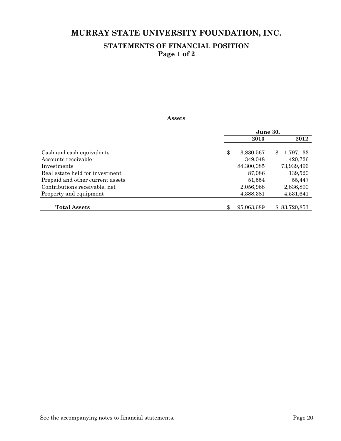# **MURRAY STATE UNIVERSITY FOUNDATION, INC.**

# **STATEMENTS OF FINANCIAL POSITION Page 1 of 2**

#### **Assets**

|                                                                     | June 30.              |                       |  |  |
|---------------------------------------------------------------------|-----------------------|-----------------------|--|--|
|                                                                     | 2013                  | 2012                  |  |  |
| Cash and cash equivalents                                           | \$<br>3,830,567       | 1,797,133<br>\$.      |  |  |
| Accounts receivable<br>Investments                                  | 349,048<br>84,300,085 | 420,726<br>73,939,496 |  |  |
| Real estate held for investment<br>Prepaid and other current assets | 87,086<br>51,554      | 139,520<br>55,447     |  |  |
| Contributions receivable, net                                       | 2,056,968             | 2,836,890             |  |  |
| Property and equipment                                              | 4,388,381             | 4,531,641             |  |  |
| <b>Total Assets</b>                                                 | \$<br>95,063,689      | \$83,720,853          |  |  |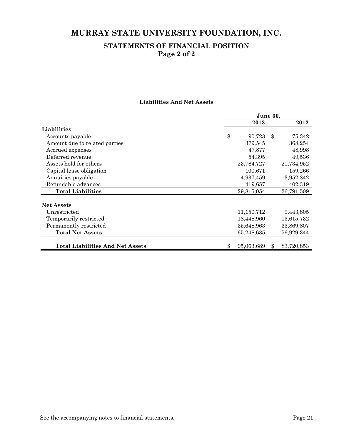# **MURRAY STATE UNIVERSITY FOUNDATION, INC.**

# **STATEMENTS OF FINANCIAL POSITION Page 2 of 2**

#### **Liabilities And Net Assets**

|                                         | June 30, |            |               |            |
|-----------------------------------------|----------|------------|---------------|------------|
|                                         |          | 2013       |               | 2012       |
| Liabilities                             |          |            |               |            |
| Accounts payable                        | \$       | 90,723     | $\mathbf{\$}$ | 75,342     |
| Amount due to related parties           |          | 379,545    |               | 368,254    |
| Accrued expenses                        |          | 47,877     |               | 48,998     |
| Deferred revenue                        |          | 54,395     |               | 49,536     |
| Assets held for others                  |          | 23,784,727 |               | 21,734,952 |
| Capital lease obligation                |          | 100,671    |               | 159,266    |
| Annuities payable                       |          | 4,937,459  |               | 3,952,842  |
| Refundable advances                     |          | 419,657    |               | 402,319    |
| <b>Total Liabilities</b>                |          | 29,815,054 |               | 26,791,509 |
| <b>Net Assets</b>                       |          |            |               |            |
| Unrestricted                            |          | 11,150,712 |               | 9,443,805  |
| Temporarily restricted                  |          | 18,448,960 |               | 13,615,732 |
| Permanently restricted                  |          | 35,648,963 |               | 33,869,807 |
| <b>Total Net Assets</b>                 |          | 65,248,635 |               | 56,929,344 |
| <b>Total Liabilities And Net Assets</b> | \$       | 95,063,689 | \$            | 83,720,853 |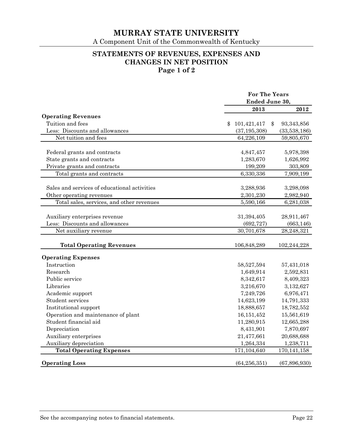A Component Unit of the Commonwealth of Kentucky

# **STATEMENTS OF REVENUES, EXPENSES AND CHANGES IN NET POSITION Page 1 of 2**

|                                              |                | <b>For The Years</b> |  |  |
|----------------------------------------------|----------------|----------------------|--|--|
|                                              | Ended June 30, |                      |  |  |
|                                              | 2013           | 2012                 |  |  |
| <b>Operating Revenues</b>                    |                |                      |  |  |
| Tuition and fees                             | 101,421,417    | \$<br>93, 343, 856   |  |  |
| Less: Discounts and allowances               | (37, 195, 308) | (33,538,186)         |  |  |
| Net tuition and fees                         | 64,226,109     | 59,805,670           |  |  |
|                                              |                |                      |  |  |
| Federal grants and contracts                 | 4,847,457      | 5,978,398            |  |  |
| State grants and contracts                   | 1,283,670      | 1,626,992            |  |  |
| Private grants and contracts                 | 199,209        | 303,809              |  |  |
| Total grants and contracts                   | 6,330,336      | 7,909,199            |  |  |
| Sales and services of educational activities |                |                      |  |  |
|                                              | 3,288,936      | 3,298,098            |  |  |
| Other operating revenues                     | 2,301,230      | 2,982,940            |  |  |
| Total sales, services, and other revenues    | 5,590,166      | 6,281,038            |  |  |
| Auxiliary enterprises revenue                | 31,394,405     | 28,911,467           |  |  |
| Less: Discounts and allowances               | (692, 727)     | (663, 146)           |  |  |
| Net auxiliary revenue                        | 30,701,678     | 28,248,321           |  |  |
|                                              |                |                      |  |  |
| <b>Total Operating Revenues</b>              | 106,848,289    | 102,244,228          |  |  |
| <b>Operating Expenses</b>                    |                |                      |  |  |
| Instruction                                  | 58,527,594     | 57,431,018           |  |  |
| Research                                     | 1,649,914      | 2,592,831            |  |  |
| Public service                               | 8,342,617      | 8,409,323            |  |  |
| Libraries                                    | 3,216,670      | 3,132,627            |  |  |
| Academic support                             | 7,249,726      | 6,976,471            |  |  |
| Student services                             | 14,623,199     | 14,791,333           |  |  |
| Institutional support                        | 18,888,657     | 18,782,552           |  |  |
| Operation and maintenance of plant           | 16,151,452     | 15,561,619           |  |  |
| Student financial aid                        | 11,280,915     | 12,665,288           |  |  |
| Depreciation                                 | 8,431,901      | 7,870,697            |  |  |
| Auxiliary enterprises                        | 21,477,661     | 20,688,688           |  |  |
| Auxiliary depreciation                       | 1,264,334      | 1,238,711            |  |  |
| <b>Total Operating Expenses</b>              | 171,104,640    | 170,141,158          |  |  |
|                                              |                |                      |  |  |
| <b>Operating Loss</b>                        | (64, 256, 351) | (67, 896, 930)       |  |  |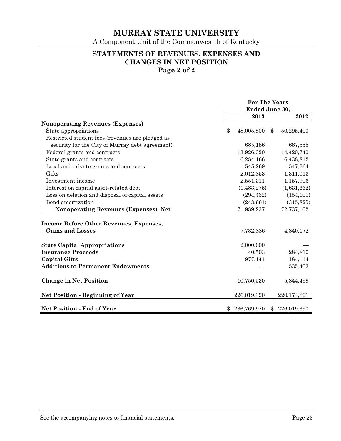A Component Unit of the Commonwealth of Kentucky

# **STATEMENTS OF REVENUES, EXPENSES AND CHANGES IN NET POSITION Page 2 of 2**

|                                                                  | <b>For The Years</b><br>Ended June 30, |             |    |             |
|------------------------------------------------------------------|----------------------------------------|-------------|----|-------------|
|                                                                  |                                        | 2013        |    | 2012        |
| <b>Nonoperating Revenues (Expenses)</b>                          |                                        |             |    |             |
| State appropriations                                             | \$                                     | 48,005,800  | \$ | 50,295,400  |
| Restricted student fees (revenues are pledged as                 |                                        |             |    |             |
| security for the City of Murray debt agreement)                  |                                        | 685,186     |    | 667,555     |
| Federal grants and contracts                                     |                                        | 13,926,020  |    | 14,420,740  |
| State grants and contracts                                       |                                        | 6,284,166   |    | 6,438,812   |
| Local and private grants and contracts                           |                                        | 545,269     |    | 547,264     |
| Gifts                                                            |                                        | 2,012,853   |    | 1,311,013   |
| Investment income                                                |                                        | 2,551,311   |    | 1,157,906   |
| Interest on capital asset-related debt                           |                                        | (1,483,275) |    | (1,631,662) |
| Loss on deletion and disposal of capital assets                  |                                        | (294, 432)  |    | (154, 101)  |
| Bond amortization                                                |                                        | (243, 661)  |    | (315, 825)  |
| Nonoperating Revenues (Expenses), Net                            |                                        | 71,989,237  |    | 72,737,102  |
|                                                                  |                                        |             |    |             |
| <b>Income Before Other Revenues, Expenses,</b>                   |                                        |             |    |             |
| <b>Gains and Losses</b>                                          |                                        | 7,732,886   |    | 4,840,172   |
|                                                                  |                                        |             |    |             |
| <b>State Capital Appropriations</b><br><b>Insurance Proceeds</b> |                                        | 2,000,000   |    |             |
|                                                                  |                                        | 40,503      |    | 284,810     |
| <b>Capital Gifts</b>                                             |                                        | 977,141     |    | 184,114     |
| <b>Additions to Permanent Endowments</b>                         |                                        |             |    | 535,403     |
| <b>Change in Net Position</b>                                    |                                        | 10,750,530  |    | 5,844,499   |
| <b>Net Position - Beginning of Year</b>                          |                                        | 226,019,390 |    | 220,174,891 |
| <b>Net Position - End of Year</b>                                | \$                                     | 236,769,920 | \$ | 226,019,390 |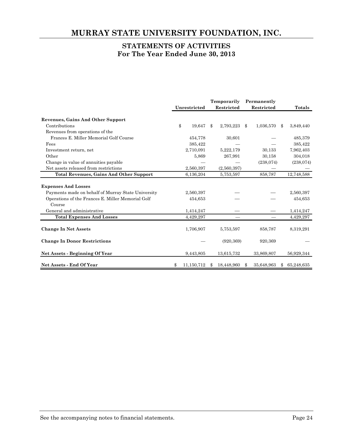# **MURRAY STATE UNIVERSITY FOUNDATION, INC.**

# **STATEMENTS OF ACTIVITIES For The Year Ended June 30, 2013**

|                                                    | Unrestricted     | Temporarily<br>Restricted | Permanently<br>Restricted |    | Totals     |
|----------------------------------------------------|------------------|---------------------------|---------------------------|----|------------|
|                                                    |                  |                           |                           |    |            |
| <b>Revenues, Gains And Other Support</b>           |                  |                           |                           |    |            |
| Contributions                                      | \$<br>19,647     | \$<br>2,793,223           | \$<br>1,036,570           | \$ | 3,849,440  |
| Revenues from operations of the                    |                  |                           |                           |    |            |
| Frances E. Miller Memorial Golf Course             | 454,778          | 30,601                    |                           |    | 485,379    |
| Fees                                               | 385,422          |                           |                           |    | 385,422    |
| Investment return, net                             | 2,710,091        | 5,222,179                 | 30,133                    |    | 7,962,403  |
| Other                                              | 5,869            | 267,991                   | 30,158                    |    | 304,018    |
| Change in value of annuities payable               |                  |                           | (238, 074)                |    | (238, 074) |
| Net assets released from restrictions              | 2,560,397        | (2,560,397)               |                           |    |            |
| <b>Total Revenues, Gains And Other Support</b>     | 6,136,204        | 5,753,597                 | 858,787                   |    | 12,748,588 |
|                                                    |                  |                           |                           |    |            |
| <b>Expenses And Losses</b>                         |                  |                           |                           |    |            |
| Payments made on behalf of Murray State University | 2,560,397        |                           |                           |    | 2,560,397  |
| Operations of the Frances E. Miller Memorial Golf  | 454,653          |                           |                           |    | 454,653    |
| Course                                             |                  |                           |                           |    |            |
| General and administrative                         | 1,414,247        |                           |                           |    | 1,414,247  |
| <b>Total Expenses And Losses</b>                   | 4,429,297        | --                        |                           |    | 4,429,297  |
|                                                    |                  |                           |                           |    |            |
| <b>Change In Net Assets</b>                        | 1,706,907        | 5,753,597                 | 858,787                   |    | 8,319,291  |
| <b>Change In Donor Restrictions</b>                |                  | (920, 369)                | 920,369                   |    |            |
| Net Assets - Beginning Of Year                     | 9,443,805        | 13,615,732                | 33,869,807                |    | 56,929,344 |
| Net Assets - End Of Year                           | \$<br>11,150,712 | \$<br>18,448,960          | \$<br>35,648,963          | S  | 65,248,635 |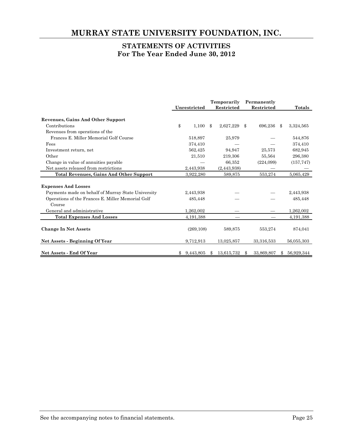# **MURRAY STATE UNIVERSITY FOUNDATION, INC.**

# **STATEMENTS OF ACTIVITIES For The Year Ended June 30, 2012**

|                                                             | Unrestricted    | Temporarily<br>Restricted | Permanently<br>Restricted | Totals           |
|-------------------------------------------------------------|-----------------|---------------------------|---------------------------|------------------|
| Revenues, Gains And Other Support                           |                 |                           |                           |                  |
| Contributions                                               | \$<br>1,100     | \$<br>2,627,229           | \$<br>696,236             | \$<br>3,324,565  |
| Revenues from operations of the                             |                 |                           |                           |                  |
| Frances E. Miller Memorial Golf Course                      | 518,897         | 25,979                    |                           | 544,876          |
| Fees                                                        | 374,410         |                           |                           | 374,410          |
| Investment return, net                                      | 562,425         | 94,947                    | 25,573                    | 682,945          |
| Other                                                       | 21,510          | 219,306                   | 55,564                    | 296,380          |
| Change in value of annuities payable                        |                 | 66,352                    | (224,099)                 | (157, 747)       |
| Net assets released from restrictions                       | 2,443,938       | (2,443,938)               |                           |                  |
| <b>Total Revenues, Gains And Other Support</b>              | 3,922,280       | 589,875                   | 553,274                   | 5,065,429        |
| <b>Expenses And Losses</b>                                  |                 |                           |                           |                  |
| Payments made on behalf of Murray State University          | 2,443,938       |                           |                           | 2,443,938        |
| Operations of the Frances E. Miller Memorial Golf<br>Course | 485,448         |                           |                           | 485,448          |
| General and administrative                                  | 1,262,002       |                           |                           | 1,262,002        |
| <b>Total Expenses And Losses</b>                            | 4,191,388       |                           |                           | 4, 191, 388      |
| <b>Change In Net Assets</b>                                 | (269, 108)      | 589,875                   | 553,274                   | 874,041          |
| Net Assets - Beginning Of Year                              | 9,712,913       | 13,025,857                | 33,316,533                | 56,055,303       |
| <b>Net Assets - End Of Year</b>                             | \$<br>9,443,805 | \$<br>13,615,732          | \$<br>33,869,807          | \$<br>56,929,344 |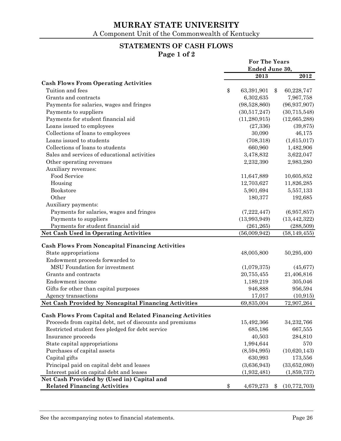# **STATEMENTS OF CASH FLOWS Page 1 of 2**

|                                                                                                                              | <b>For The Years</b> |                |    |                |
|------------------------------------------------------------------------------------------------------------------------------|----------------------|----------------|----|----------------|
|                                                                                                                              |                      | Ended June 30, |    |                |
|                                                                                                                              |                      | 2013           |    | 2012           |
| <b>Cash Flows From Operating Activities</b>                                                                                  |                      |                |    |                |
| Tuition and fees                                                                                                             | \$                   | 63,391,901     | \$ | 60,228,747     |
| Grants and contracts                                                                                                         |                      | 6,302,635      |    | 7,967,758      |
| Payments for salaries, wages and fringes                                                                                     |                      | (98,528,860)   |    | (96, 937, 907) |
| Payments to suppliers                                                                                                        |                      | (30,517,247)   |    | (30, 715, 548) |
| Payments for student financial aid                                                                                           |                      | (11, 280, 915) |    | (12,665,288)   |
| Loans issued to employees                                                                                                    |                      | (27, 336)      |    | (39, 875)      |
| Collections of loans to employees                                                                                            |                      | 30,090         |    | 46,175         |
| Loans issued to students                                                                                                     |                      | (708, 318)     |    | (1,615,017)    |
| Collections of loans to students                                                                                             |                      | 660,960        |    | 1,482,906      |
| Sales and services of educational activities                                                                                 |                      | 3,478,832      |    | 3,622,047      |
| Other operating revenues                                                                                                     |                      | 2,232,390      |    | 2,983,280      |
| Auxiliary revenues:                                                                                                          |                      |                |    |                |
| Food Service                                                                                                                 |                      | 11,647,889     |    | 10,605,852     |
| Housing                                                                                                                      |                      | 12,703,627     |    | 11,826,285     |
| Bookstore                                                                                                                    |                      | 5,901,694      |    | 5,557,133      |
| Other                                                                                                                        |                      | 180,377        |    | 192,685        |
| Auxiliary payments:                                                                                                          |                      |                |    |                |
| Payments for salaries, wages and fringes                                                                                     |                      | (7,222,447)    |    | (6,957,857)    |
| Payments to suppliers                                                                                                        |                      | (13,993,949)   |    | (13, 442, 322) |
| Payments for student financial aid                                                                                           |                      | (261, 265)     |    | (288, 509)     |
| <b>Net Cash Used in Operating Activities</b>                                                                                 |                      | (56,009,942)   |    | (58, 149, 455) |
|                                                                                                                              |                      |                |    |                |
| <b>Cash Flows From Noncapital Financing Activities</b>                                                                       |                      |                |    |                |
| State appropriations                                                                                                         |                      | 48,005,800     |    | 50,295,400     |
| Endowment proceeds forwarded to                                                                                              |                      |                |    |                |
| MSU Foundation for investment                                                                                                |                      | (1,079,375)    |    | (45, 677)      |
| Grants and contracts                                                                                                         |                      | 20,755,455     |    | 21,406,816     |
| Endowment income                                                                                                             |                      | 1,189,219      |    | 305,046        |
| Gifts for other than capital purposes                                                                                        |                      | 946,888        |    | 956,594        |
| Agency transactions                                                                                                          |                      | 17,017         |    | (10, 915)      |
| Net Cash Provided by Noncapital Financing Activities                                                                         |                      | 69,835,004     |    | 72,907,264     |
|                                                                                                                              |                      |                |    |                |
| <b>Cash Flows From Capital and Related Financing Activities</b><br>Proceeds from capital debt, net of discounts and premiums |                      |                |    |                |
|                                                                                                                              |                      | 15,492,366     |    | 34,232,766     |
| Restricted student fees pledged for debt service                                                                             |                      | 685,186        |    | 667,555        |
| Insurance proceeds                                                                                                           |                      | 40,503         |    | 284,810        |
| State capital appropriations                                                                                                 |                      | 1,994,644      |    | 570            |
| Purchases of capital assets                                                                                                  |                      | (8,594,995)    |    | (10,620,143)   |
| Capital gifts                                                                                                                |                      | 630,993        |    | 173,556        |
| Principal paid on capital debt and leases                                                                                    |                      | (3,636,943)    |    | (33,652,080)   |
| Interest paid on capital debt and leases                                                                                     |                      | (1,932,481)    |    | (1,859,737)    |
| Net Cash Provided by (Used in) Capital and                                                                                   |                      |                |    |                |
| <b>Related Financing Activities</b>                                                                                          | \$                   | 4,679,273      | \$ | (10, 772, 703) |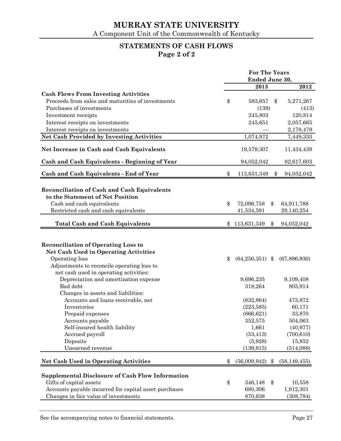# **STATEMENTS OF CASH FLOWS Page 2 of 2**

|                                                         | <b>For The Years</b> |                                      |    |                |  |  |
|---------------------------------------------------------|----------------------|--------------------------------------|----|----------------|--|--|
|                                                         |                      | Ended June 30,                       |    |                |  |  |
|                                                         |                      | 2013                                 |    | 2012           |  |  |
| <b>Cash Flows From Investing Activities</b>             |                      |                                      |    |                |  |  |
| Proceeds from sales and maturities of investments       | \$                   | 583,657                              | \$ | 5,271,267      |  |  |
| Purchases of investments                                |                      | (139)                                |    | (413)          |  |  |
| Investment receipts                                     |                      | 245,803                              |    | 120,814        |  |  |
| Interest receipts on investments                        |                      | 245,651                              |    | 2,057,665      |  |  |
| Interest receipts on investments                        |                      |                                      |    | 2,178,479      |  |  |
| <b>Net Cash Provided by Investing Activities</b>        |                      | 1,074,972                            |    | 7,449,333      |  |  |
| Net Increase in Cash and Cash Equivalents               |                      | 19,579,307                           |    | 11,434,439     |  |  |
| Cash and Cash Equivalents - Beginning of Year           |                      | 94,052,042                           |    | 82,617,603     |  |  |
| Cash and Cash Equivalents - End of Year                 | \$                   | 113,631,349                          | \$ | 94,052,042     |  |  |
|                                                         |                      |                                      |    |                |  |  |
| <b>Reconciliation of Cash and Cash Equivalents</b>      |                      |                                      |    |                |  |  |
| to the Statement of Net Position                        |                      |                                      |    |                |  |  |
| Cash and cash equivalents                               | \$                   | 72,096,758                           | \$ | 64,911,788     |  |  |
| Restricted cash and cash equivalents                    |                      | 41,534,591                           |    | 29,140,254     |  |  |
| <b>Total Cash and Cash Equivalents</b>                  | \$                   | 113,631,349                          | \$ | 94,052,042     |  |  |
|                                                         |                      |                                      |    |                |  |  |
| <b>Reconciliation of Operating Loss to</b>              |                      |                                      |    |                |  |  |
| <b>Net Cash Used in Operating Activities</b>            |                      |                                      |    |                |  |  |
| Operating loss                                          | \$                   | $(64, 256, 351)$ \$ $(67, 896, 930)$ |    |                |  |  |
| Adjustments to reconcile operating loss to              |                      |                                      |    |                |  |  |
| net cash used in operating activities:                  |                      |                                      |    |                |  |  |
| Depreciation and amortization expense                   |                      | 9,696,235                            |    | 9,109,408      |  |  |
| Bad debt                                                |                      | 318,264                              |    | 805,914        |  |  |
| Changes in assets and liabilities:                      |                      |                                      |    |                |  |  |
| Accounts and loans receivable, net                      |                      | (832, 864)                           |    | 473,872        |  |  |
| Inventories                                             |                      | (223, 585)                           |    | 60,171         |  |  |
| Prepaid expenses                                        |                      | (866, 621)                           |    | 33,870         |  |  |
| Accounts payable                                        |                      | 352,575                              |    | 504,063        |  |  |
| Self-insured health liability                           |                      | 1,661                                |    | (40, 977)      |  |  |
| Accrued payroll                                         |                      | (53, 413)                            |    | (700, 610)     |  |  |
| Deposits                                                |                      | (5,928)                              |    | 15,852         |  |  |
| Unearned revenue                                        |                      | (139, 915)                           |    | (514,088)      |  |  |
| <b>Net Cash Used in Operating Activities</b>            | \$                   | (56,009,942)                         | \$ | (58, 149, 455) |  |  |
|                                                         |                      |                                      |    |                |  |  |
| <b>Supplemental Disclosure of Cash Flow Information</b> |                      |                                      |    |                |  |  |
| Gifts of capital assets                                 | \$                   | 346,148                              | \$ | 10,558         |  |  |
| Accounts payable incurred for capital asset purchases   |                      | 680,306                              |    | 1,912,301      |  |  |
| Changes in fair value of investments                    |                      | 870,638                              |    | (308, 794)     |  |  |

See the accompanying notes to financial statements. Page 27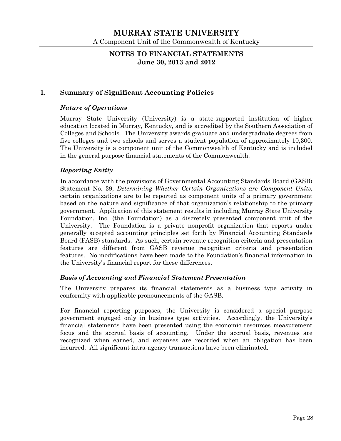## **NOTES TO FINANCIAL STATEMENTS June 30, 2013 and 2012**

# **1. Summary of Significant Accounting Policies**

#### *Nature of Operations*

Murray State University (University) is a state-supported institution of higher education located in Murray, Kentucky, and is accredited by the Southern Association of Colleges and Schools. The University awards graduate and undergraduate degrees from five colleges and two schools and serves a student population of approximately 10,300. The University is a component unit of the Commonwealth of Kentucky and is included in the general purpose financial statements of the Commonwealth.

#### *Reporting Entity*

In accordance with the provisions of Governmental Accounting Standards Board (GASB) Statement No. 39, *Determining Whether Certain Organizations are Component Units,* certain organizations are to be reported as component units of a primary government based on the nature and significance of that organization's relationship to the primary government. Application of this statement results in including Murray State University Foundation, Inc. (the Foundation) as a discretely presented component unit of the University. The Foundation is a private nonprofit organization that reports under generally accepted accounting principles set forth by Financial Accounting Standards Board (FASB) standards. As such, certain revenue recognition criteria and presentation features are different from GASB revenue recognition criteria and presentation features. No modifications have been made to the Foundation's financial information in the University's financial report for these differences.

#### *Basis of Accounting and Financial Statement Presentation*

The University prepares its financial statements as a business type activity in conformity with applicable pronouncements of the GASB.

For financial reporting purposes, the University is considered a special purpose government engaged only in business type activities. Accordingly, the University's financial statements have been presented using the economic resources measurement focus and the accrual basis of accounting. Under the accrual basis, revenues are recognized when earned, and expenses are recorded when an obligation has been incurred. All significant intra-agency transactions have been eliminated.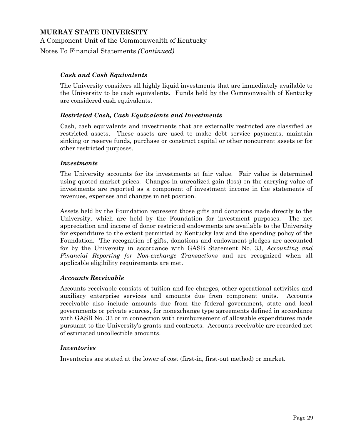Notes To Financial Statements *(Continued)*

#### *Cash and Cash Equivalents*

The University considers all highly liquid investments that are immediately available to the University to be cash equivalents. Funds held by the Commonwealth of Kentucky are considered cash equivalents.

#### *Restricted Cash, Cash Equivalents and Investments*

Cash, cash equivalents and investments that are externally restricted are classified as restricted assets. These assets are used to make debt service payments, maintain sinking or reserve funds, purchase or construct capital or other noncurrent assets or for other restricted purposes.

#### *Investments*

The University accounts for its investments at fair value. Fair value is determined using quoted market prices. Changes in unrealized gain (loss) on the carrying value of investments are reported as a component of investment income in the statements of revenues, expenses and changes in net position.

Assets held by the Foundation represent those gifts and donations made directly to the University, which are held by the Foundation for investment purposes. The net appreciation and income of donor restricted endowments are available to the University for expenditure to the extent permitted by Kentucky law and the spending policy of the Foundation. The recognition of gifts, donations and endowment pledges are accounted for by the University in accordance with GASB Statement No. 33, *Accounting and Financial Reporting for Non-exchange Transactions* and are recognized when all applicable eligibility requirements are met.

#### *Accounts Receivable*

Accounts receivable consists of tuition and fee charges, other operational activities and auxiliary enterprise services and amounts due from component units. Accounts receivable also include amounts due from the federal government, state and local governments or private sources, for nonexchange type agreements defined in accordance with GASB No. 33 or in connection with reimbursement of allowable expenditures made pursuant to the University's grants and contracts. Accounts receivable are recorded net of estimated uncollectible amounts.

### *Inventories*

Inventories are stated at the lower of cost (first-in, first-out method) or market.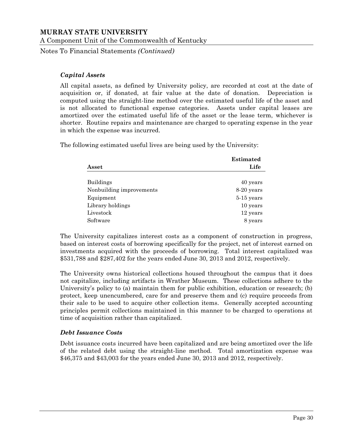Notes To Financial Statements *(Continued)*

#### *Capital Assets*

All capital assets, as defined by University policy, are recorded at cost at the date of acquisition or, if donated, at fair value at the date of donation. Depreciation is computed using the straight-line method over the estimated useful life of the asset and is not allocated to functional expense categories. Assets under capital leases are amortized over the estimated useful life of the asset or the lease term, whichever is shorter. Routine repairs and maintenance are charged to operating expense in the year in which the expense was incurred.

The following estimated useful lives are being used by the University:

|                          | <b>Estimated</b> |
|--------------------------|------------------|
| Asset                    | Life             |
| <b>Buildings</b>         | 40 years         |
| Nonbuilding improvements | 8-20 years       |
| Equipment                | $5-15$ years     |
| Library holdings         | 10 years         |
| Livestock                | 12 years         |
| Software                 | 8 years          |

The University capitalizes interest costs as a component of construction in progress, based on interest costs of borrowing specifically for the project, net of interest earned on investments acquired with the proceeds of borrowing. Total interest capitalized was \$531,788 and \$287,402 for the years ended June 30, 2013 and 2012, respectively.

The University owns historical collections housed throughout the campus that it does not capitalize, including artifacts in Wrather Museum. These collections adhere to the University's policy to (a) maintain them for public exhibition, education or research; (b) protect, keep unencumbered, care for and preserve them and (c) require proceeds from their sale to be used to acquire other collection items. Generally accepted accounting principles permit collections maintained in this manner to be charged to operations at time of acquisition rather than capitalized.

### *Debt Issuance Costs*

Debt issuance costs incurred have been capitalized and are being amortized over the life of the related debt using the straight-line method. Total amortization expense was \$46,375 and \$43,003 for the years ended June 30, 2013 and 2012, respectively.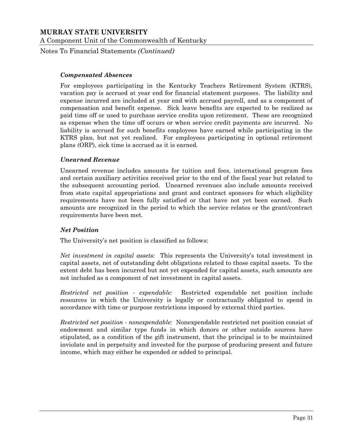Notes To Financial Statements *(Continued)*

#### *Compensated Absences*

For employees participating in the Kentucky Teachers Retirement System (KTRS), vacation pay is accrued at year end for financial statement purposes. The liability and expense incurred are included at year end with accrued payroll, and as a component of compensation and benefit expense. Sick leave benefits are expected to be realized as paid time off or used to purchase service credits upon retirement. These are recognized as expense when the time off occurs or when service credit payments are incurred. No liability is accrued for such benefits employees have earned while participating in the KTRS plan, but not yet realized. For employees participating in optional retirement plans (ORP), sick time is accrued as it is earned.

#### *Unearned Revenue*

Unearned revenue includes amounts for tuition and fees, international program fees and certain auxiliary activities received prior to the end of the fiscal year but related to the subsequent accounting period. Unearned revenues also include amounts received from state capital appropriations and grant and contract sponsors for which eligibility requirements have not been fully satisfied or that have not yet been earned. Such amounts are recognized in the period to which the service relates or the grant/contract requirements have been met.

### *Net Position*

The University's net position is classified as follows:

*Net investment in capital assets:* This represents the University's total investment in capital assets, net of outstanding debt obligations related to those capital assets. To the extent debt has been incurred but not yet expended for capital assets, such amounts are not included as a component of net investment in capital assets.

*Restricted net position - expendable:* Restricted expendable net position include resources in which the University is legally or contractually obligated to spend in accordance with time or purpose restrictions imposed by external third parties.

*Restricted net position - nonexpendable:* Nonexpendable restricted net position consist of endowment and similar type funds in which donors or other outside sources have stipulated, as a condition of the gift instrument, that the principal is to be maintained inviolate and in perpetuity and invested for the purpose of producing present and future income, which may either be expended or added to principal.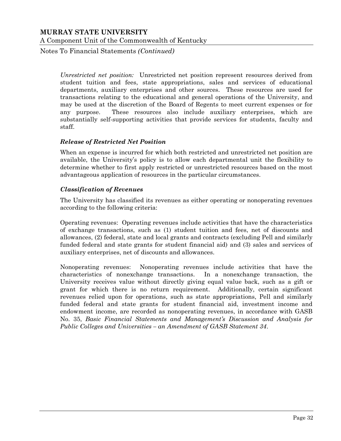Notes To Financial Statements *(Continued)*

*Unrestricted net position:* Unrestricted net position represent resources derived from student tuition and fees, state appropriations, sales and services of educational departments, auxiliary enterprises and other sources. These resources are used for transactions relating to the educational and general operations of the University, and may be used at the discretion of the Board of Regents to meet current expenses or for any purpose. These resources also include auxiliary enterprises, which are substantially self-supporting activities that provide services for students, faculty and staff.

#### *Release of Restricted Net Position*

When an expense is incurred for which both restricted and unrestricted net position are available, the University's policy is to allow each departmental unit the flexibility to determine whether to first apply restricted or unrestricted resources based on the most advantageous application of resources in the particular circumstances.

#### *Classification of Revenues*

The University has classified its revenues as either operating or nonoperating revenues according to the following criteria:

Operating revenues: Operating revenues include activities that have the characteristics of exchange transactions, such as (1) student tuition and fees, net of discounts and allowances, (2) federal, state and local grants and contracts (excluding Pell and similarly funded federal and state grants for student financial aid) and (3) sales and services of auxiliary enterprises, net of discounts and allowances.

Nonoperating revenues: Nonoperating revenues include activities that have the characteristics of nonexchange transactions. In a nonexchange transaction, the University receives value without directly giving equal value back, such as a gift or grant for which there is no return requirement. Additionally, certain significant revenues relied upon for operations, such as state appropriations, Pell and similarly funded federal and state grants for student financial aid, investment income and endowment income, are recorded as nonoperating revenues, in accordance with GASB No. 35, *Basic Financial Statements and Management's Discussion and Analysis for Public Colleges and Universities – an Amendment of GASB Statement 34*.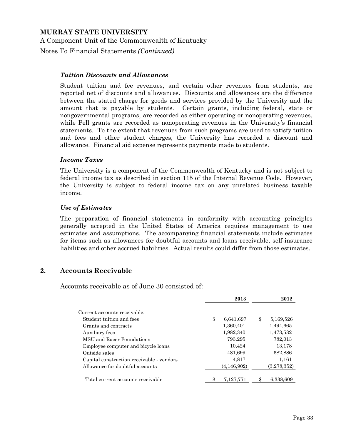Notes To Financial Statements *(Continued)*

#### *Tuition Discounts and Allowances*

Student tuition and fee revenues, and certain other revenues from students, are reported net of discounts and allowances. Discounts and allowances are the difference between the stated charge for goods and services provided by the University and the amount that is payable by students. Certain grants, including federal, state or nongovernmental programs, are recorded as either operating or nonoperating revenues, while Pell grants are recorded as nonoperating revenues in the University's financial statements. To the extent that revenues from such programs are used to satisfy tuition and fees and other student charges, the University has recorded a discount and allowance. Financial aid expense represents payments made to students.

#### *Income Taxes*

The University is a component of the Commonwealth of Kentucky and is not subject to federal income tax as described in section 115 of the Internal Revenue Code. However, the University is subject to federal income tax on any unrelated business taxable income.

#### *Use of Estimates*

The preparation of financial statements in conformity with accounting principles generally accepted in the United States of America requires management to use estimates and assumptions. The accompanying financial statements include estimates for items such as allowances for doubtful accounts and loans receivable, self-insurance liabilities and other accrued liabilities. Actual results could differ from those estimates.

#### **2. Accounts Receivable**

Accounts receivable as of June 30 consisted of:

|                                           | 2013            | 2012            |
|-------------------------------------------|-----------------|-----------------|
| Current accounts receivable:              |                 |                 |
| Student tuition and fees                  | \$<br>6,641,697 | \$<br>5,169,526 |
| Grants and contracts                      | 1,360,401       | 1,494,665       |
| Auxiliary fees                            | 1,982,340       | 1,473,532       |
| MSU and Racer Foundations                 | 793,295         | 782,013         |
| Employee computer and bicycle loans       | 10,424          | 13,178          |
| Outside sales                             | 481,699         | 682,886         |
| Capital construction receivable - vendors | 4,817           | 1,161           |
| Allowance for doubtful accounts           | (4, 146, 902)   | (3,278,352)     |
| Total current accounts receivable         | 7,127,771       | 6,338,609       |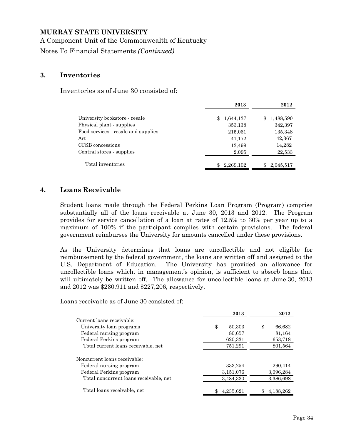A Component Unit of the Commonwealth of Kentucky

Notes To Financial Statements *(Continued)*

#### **3. Inventories**

Inventories as of June 30 consisted of:

|                                     | 2013            | 2012            |
|-------------------------------------|-----------------|-----------------|
|                                     |                 |                 |
| University bookstore - resale       | 1,644,137<br>\$ | 1,488,590<br>\$ |
| Physical plant - supplies           | 353,138         | 342,397         |
| Food services - resale and supplies | 215,061         | 135,348         |
| Art                                 | 41,172          | 42,367          |
| CFSB concessions                    | 13,499          | 14,282          |
| Central stores - supplies           | 2,095           | 22,533          |
| Total inventories                   | 2,269,102<br>\$ | 2,045,517<br>\$ |

#### **4. Loans Receivable**

Student loans made through the Federal Perkins Loan Program (Program) comprise substantially all of the loans receivable at June 30, 2013 and 2012. The Program provides for service cancellation of a loan at rates of 12.5% to 30% per year up to a maximum of 100% if the participant complies with certain provisions. The federal government reimburses the University for amounts cancelled under these provisions.

As the University determines that loans are uncollectible and not eligible for reimbursement by the federal government, the loans are written off and assigned to the U.S. Department of Education. The University has provided an allowance for uncollectible loans which, in management's opinion, is sufficient to absorb loans that will ultimately be written off. The allowance for uncollectible loans at June 30, 2013 and 2012 was \$230,911 and \$227,206, respectively.

Loans receivable as of June 30 consisted of:

|                                        | 2013         | 2012         |
|----------------------------------------|--------------|--------------|
| Current loans receivable:              |              |              |
| University loan programs               | \$<br>50,303 | \$<br>66,682 |
| Federal nursing program                | 80,657       | 81,164       |
| Federal Perkins program                | 620,331      | 653,718      |
| Total current loans receivable, net    | 751,291      | 801,564      |
| Noncurrent loans receivable:           |              |              |
| Federal nursing program                | 333,254      | 290,414      |
| Federal Perkins program                | 3,151,076    | 3,096,284    |
| Total noncurrent loans receivable, net | 3,484,330    | 3,386,698    |
| Total loans receivable, net            | 4,235,621    | 4,188,262    |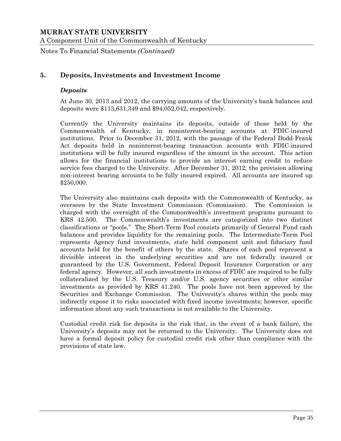A Component Unit of the Commonwealth of Kentucky

Notes To Financial Statements *(Continued)*

### **5. Deposits, Investments and Investment Income**

#### *Deposits*

At June 30, 2013 and 2012, the carrying amounts of the University's bank balances and deposits were \$113,631,349 and \$94,052,042, respectively.

Currently the University maintains its deposits, outside of those held by the Commonwealth of Kentucky, in noninterest-bearing accounts at FDIC-insured institutions. Prior to December 31, 2012, with the passage of the Federal Dodd-Frank Act deposits held in noninterest-bearing transaction accounts with FDIC-insured institutions will be fully insured regardless of the amount in the account. This action allows for the financial institutions to provide an interest earning credit to reduce service fees charged to the University. After December 31, 2012, the provision allowing non-interest bearing accounts to be fully insured expired. All accounts are insured up \$250,000.

The University also maintains cash deposits with the Commonwealth of Kentucky, as overseen by the State Investment Commission (Commission). The Commission is charged with the oversight of the Commonwealth's investment programs pursuant to KRS 42.500. The Commonwealth's investments are categorized into two distinct classifications or "pools." The Short-Term Pool consists primarily of General Fund cash balances and provides liquidity for the remaining pools. The Intermediate-Term Pool represents Agency fund investments, state held component unit and fiduciary fund accounts held for the benefit of others by the state. Shares of each pool represent a divisible interest in the underlying securities and are not federally insured or guaranteed by the U.S. Government, Federal Deposit Insurance Corporation or any federal agency. However, all such investments in excess of FDIC are required to be fully collateralized by the U.S. Treasury and/or U.S. agency securities or other similar investments as provided by KRS 41.240. The pools have not been approved by the Securities and Exchange Commission. The University's shares within the pools may indirectly expose it to risks associated with fixed income investments; however, specific information about any such transactions is not available to the University.

Custodial credit risk for deposits is the risk that, in the event of a bank failure, the University's deposits may not be returned to the University. The University does not have a formal deposit policy for custodial credit risk other than compliance with the provisions of state law.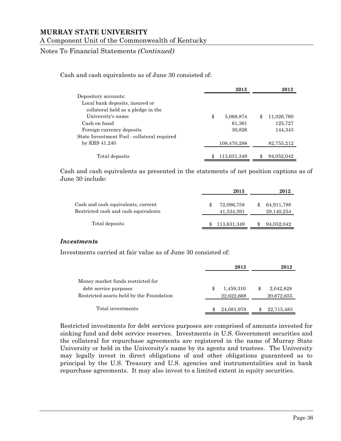#### A Component Unit of the Commonwealth of Kentucky

Notes To Financial Statements *(Continued)*

Cash and cash equivalents as of June 30 consisted of:

|                                             |    | 2013        | 2012             |
|---------------------------------------------|----|-------------|------------------|
| Depository accounts:                        |    |             |                  |
| Local bank deposits, insured or             |    |             |                  |
| collateral held as a pledge in the          |    |             |                  |
| University's name                           | \$ | 5,068,874   | \$<br>11,026,760 |
| Cash on hand                                |    | 61,361      | 125,727          |
| Foreign currency deposits                   |    | 30,826      | 144,343          |
| State Investment Pool - collateral required |    |             |                  |
| by KRS 41.240                               |    | 108,470,288 | 82,755,212       |
|                                             |    |             |                  |
| Total deposits                              | ዩ  | 113,631,349 | 94,052,042       |

Cash and cash equivalents as presented in the statements of net position captions as of June 30 include:

|                                                                            | 2013                     | 2012                     |
|----------------------------------------------------------------------------|--------------------------|--------------------------|
| Cash and cash equivalents, current<br>Restricted cash and cash equivalents | 72,096,758<br>41,534,591 | 64,911,788<br>29,140,254 |
| Total deposits                                                             | 113,631,349              | 94,052,042               |

#### *Investments*

Investments carried at fair value as of June 30 consisted of:

|                                          | 2013       | 2012       |
|------------------------------------------|------------|------------|
| Money market funds restricted for        |            |            |
| debt service purposes                    | 1,459,310  | 2,042,828  |
| Restricted assets held by the Foundation | 22,622,668 | 20,672,655 |
| Total investments                        | 24,081,978 | 22,715,483 |

Restricted investments for debt services purposes are comprised of amounts invested for sinking fund and debt service reserves. Investments in U.S. Government securities and the collateral for repurchase agreements are registered in the name of Murray State University or held in the University's name by its agents and trustees. The University may legally invest in direct obligations of and other obligations guaranteed as to principal by the U.S. Treasury and U.S. agencies and instrumentalities and in bank repurchase agreements. It may also invest to a limited extent in equity securities.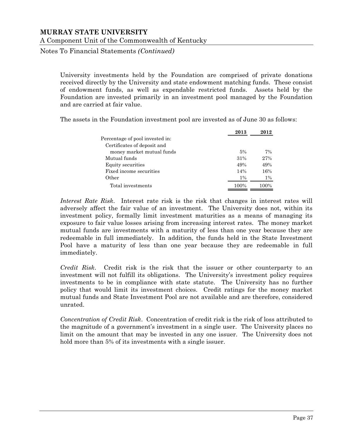Notes To Financial Statements *(Continued)*

University investments held by the Foundation are comprised of private donations received directly by the University and state endowment matching funds. These consist of endowment funds, as well as expendable restricted funds. Assets held by the Foundation are invested primarily in an investment pool managed by the Foundation and are carried at fair value.

The assets in the Foundation investment pool are invested as of June 30 as follows:

|                                 | 2013  | 2012  |
|---------------------------------|-------|-------|
| Percentage of pool invested in: |       |       |
| Certificates of deposit and     |       |       |
| money market mutual funds       | 5%    | 7%    |
| Mutual funds                    | 31%   | 27%   |
| Equity securities               | 49%   | 49%   |
| Fixed income securities         | 14%   | 16%   |
| Other                           | $1\%$ | $1\%$ |
| Total investments               | 100%  |       |

*Interest Rate Risk*. Interest rate risk is the risk that changes in interest rates will adversely affect the fair value of an investment. The University does not, within its investment policy, formally limit investment maturities as a means of managing its exposure to fair value losses arising from increasing interest rates. The money market mutual funds are investments with a maturity of less than one year because they are redeemable in full immediately. In addition, the funds held in the State Investment Pool have a maturity of less than one year because they are redeemable in full immediately.

*Credit Risk*. Credit risk is the risk that the issuer or other counterparty to an investment will not fulfill its obligations. The University's investment policy requires investments to be in compliance with state statute. The University has no further policy that would limit its investment choices. Credit ratings for the money market mutual funds and State Investment Pool are not available and are therefore, considered unrated.

*Concentration of Credit Risk*. Concentration of credit risk is the risk of loss attributed to the magnitude of a government's investment in a single user. The University places no limit on the amount that may be invested in any one issuer. The University does not hold more than 5% of its investments with a single issuer.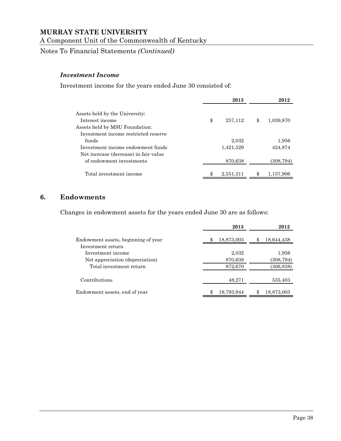A Component Unit of the Commonwealth of Kentucky

Notes To Financial Statements *(Continued)*

#### *Investment Income*

Investment income for the years ended June 30 consisted of:

|                                                   | 2013          | 2012            |
|---------------------------------------------------|---------------|-----------------|
| Assets held by the University:<br>Interest income | \$<br>257,112 | \$<br>1,039,870 |
| Assets held by MSU Foundation:                    |               |                 |
| Investment income restricted reserve              |               |                 |
| funds                                             | 2,032         | 1,956           |
| Investment income endowment funds                 | 1,421,529     | 424,874         |
| Net increase (decrease) in fair value             |               |                 |
| of endowment investments                          | 870,638       | (308,794)       |
| Total investment income                           | 2,551,311     | 1,157,906       |

# **6. Endowments**

Changes in endowment assets for the years ended June 30 are as follows:

|                                     | 2013       | 2012             |
|-------------------------------------|------------|------------------|
| Endowment assets, beginning of year | 18,873,003 | 18,644,438       |
| Investment return                   |            |                  |
| Investment income                   | 2,032      | 1,956            |
| Net appreciation (depreciation)     | 870,638    | (308, 794)       |
| Total investment return             | 872,670    | (306, 838)       |
| Contributions                       | 48,271     | 535,403          |
| Endowment assets, end of year       | 19,793,944 | \$<br>18,873,003 |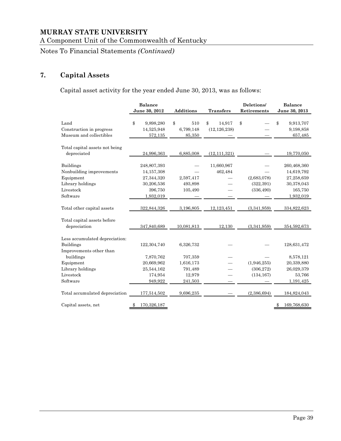A Component Unit of the Commonwealth of Kentucky

Notes To Financial Statements *(Continued)*

# **7. Capital Assets**

Capital asset activity for the year ended June 30, 2013, was as follows:

|                                | <b>Balance</b>    |            |                  | Deletions/  | <b>Balance</b>    |  |
|--------------------------------|-------------------|------------|------------------|-------------|-------------------|--|
|                                | June 30, 2012     | Additions  | <b>Transfers</b> | Retirements | June 30, 2013     |  |
|                                |                   |            |                  |             |                   |  |
| Land                           | \$<br>9,898,280   | \$<br>510  | \$<br>14,917     | \$          | \$<br>9,913,707   |  |
| Construction in progress       | 14,525,948        | 6,799,148  | (12, 126, 238)   |             | 9,198,858         |  |
| Museum and collectibles        | 572,135           | 85,350     |                  |             | 657,485           |  |
| Total capital assets not being |                   |            |                  |             |                   |  |
| depreciated                    | 24,996,363        | 6,885,008  | (12, 111, 321)   |             | 19,770,050        |  |
| <b>Buildings</b>               | 248,807,393       |            | 11,660,967       |             | 260,468,360       |  |
| Nonbuilding improvements       | 14, 157, 308      |            | 462,484          |             | 14,619,792        |  |
| Equipment                      | 27,344,320        | 2,597,417  |                  | (2,683,078) | 27,258,659        |  |
| Library holdings               | 30,206,536        | 493,898    |                  | (322, 391)  | 30,378,043        |  |
| Livestock                      | 396,750           | 105,490    |                  | (336, 490)  | 165,750           |  |
| Software                       | 1,932,019         |            |                  |             | 1,932,019         |  |
| Total other capital assets     | 322,844,326       | 3,196,805  | 12,123,451       | (3,341,959) | 334,822,623       |  |
| Total capital assets before    |                   |            |                  |             |                   |  |
| depreciation                   | 347,840,689       | 10,081,813 | 12,130           | (3,341,959) | 354,592,673       |  |
| Less accumulated depreciation: |                   |            |                  |             |                   |  |
| <b>Buildings</b>               | 122,304,740       | 6,326,732  |                  |             | 128,631,472       |  |
| Improvements other than        |                   |            |                  |             |                   |  |
| buildings                      | 7,870,762         | 707,359    |                  |             | 8,578,121         |  |
| Equipment                      | 20,669,962        | 1,616,173  |                  | (1,946,255) | 20,339,880        |  |
| Library holdings               | 25,544,162        | 791,489    |                  | (306, 272)  | 26,029,379        |  |
| Livestock                      | 174,954           | 12,979     |                  | (134, 167)  | 53,766            |  |
| Software                       | 949,922           | 241,503    |                  |             | 1,191,425         |  |
| Total accumulated depreciation | 177,514,502       | 9,696,235  |                  | (2,386,694) | 184,824,043       |  |
| Capital assets, net            | 170,326,187<br>\$ |            |                  |             | 169,768,630<br>\$ |  |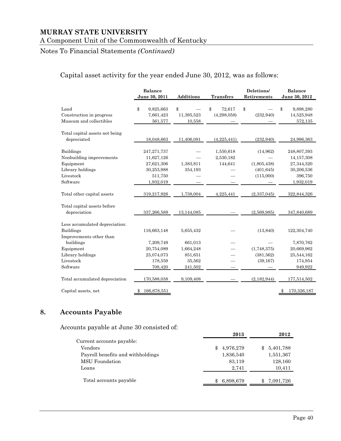#### A Component Unit of the Commonwealth of Kentucky

# Notes To Financial Statements *(Continued)*

# Capital asset activity for the year ended June 30, 2012, was as follows:

|                                                                                                                                      | <b>Balance</b><br>June 30, 2011                                                                | <b>Additions</b><br><b>Transfers</b> |                                                | Deletions/<br>Retirements                                         | <b>Balance</b><br>June 30, 2012                                                              |  |
|--------------------------------------------------------------------------------------------------------------------------------------|------------------------------------------------------------------------------------------------|--------------------------------------|------------------------------------------------|-------------------------------------------------------------------|----------------------------------------------------------------------------------------------|--|
| Land<br>Construction in progress<br>Museum and collectibles                                                                          | \$<br>9,825,663<br>7,661,423<br>561,577                                                        | \$<br>11,395,523<br>10,558           | 72,617<br>\$<br>(4,298,058)                    | \$<br>(232,940)                                                   | \$<br>9,898,280<br>14,525,948<br>572,135                                                     |  |
| Total capital assets not being<br>depreciated                                                                                        | 18,048,663                                                                                     | 11,406,081                           | (4,225,441)                                    | (232, 940)                                                        | 24,996,363                                                                                   |  |
| <b>Buildings</b><br>Nonbuilding improvements<br>Equipment<br>Library holdings<br>Livestock<br>Software<br>Total other capital assets | 247, 271, 737<br>11,627,126<br>27,621,306<br>30,253,988<br>511,750<br>1,932,019<br>319,217,926 | 1,383,811<br>354,193<br>1,738,004    | 1,550,618<br>2,530,182<br>144,641<br>4,225,441 | (14,962)<br>(1,805,438)<br>(401, 645)<br>(115,000)<br>(2,337,045) | 248,807,393<br>14,157,308<br>27,344,320<br>30,206,536<br>396,750<br>1,932,019<br>322,844,326 |  |
| Total capital assets before<br>depreciation                                                                                          | 337,266,589                                                                                    | 13,144,085                           |                                                | (2,569,985)                                                       | 347,840,689                                                                                  |  |
| Less accumulated depreciation:<br><b>Buildings</b><br>Improvements other than                                                        | 116,663,148                                                                                    | 5,655,432                            |                                                | (13, 840)                                                         | 122,304,740                                                                                  |  |
| buildings                                                                                                                            | 7,209,749                                                                                      | 661,013                              |                                                |                                                                   | 7,870,762                                                                                    |  |
| Equipment                                                                                                                            | 20,754,089                                                                                     | 1,664,248                            |                                                | (1,748,375)                                                       | 20,669,962                                                                                   |  |
| Library holdings<br>Livestock                                                                                                        | 25,074,073                                                                                     | 851,651                              |                                                | (381, 562)                                                        | 25,544,162                                                                                   |  |
| Software                                                                                                                             | 178,559<br>708,420                                                                             | 35,562<br>241,502                    |                                                | (39, 167)                                                         | 174,954<br>949,922                                                                           |  |
| Total accumulated depreciation                                                                                                       | 170,588,038                                                                                    | 9,109,408                            |                                                | (2, 182, 944)                                                     | 177,514,502                                                                                  |  |
| Capital assets, net                                                                                                                  | 166,678,551<br>\$                                                                              |                                      |                                                |                                                                   | 170,326,187<br>\$.                                                                           |  |

# **8. Accounts Payable**

Accounts payable at June 30 consisted of:

|                                   | 2013            | 2012            |
|-----------------------------------|-----------------|-----------------|
| Current accounts payable:         |                 |                 |
| Vendors                           | 4,976,279<br>\$ | 5,401,788<br>\$ |
| Payroll benefits and withholdings | 1,836,540       | 1,551,367       |
| MSU Foundation                    | 83,119          | 128,160         |
| Loans                             | 2,741           | 10,411          |
| Total accounts payable            | 6,898,679       | 7,091,726<br>\$ |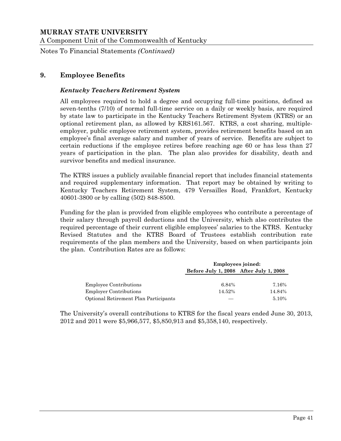A Component Unit of the Commonwealth of Kentucky

Notes To Financial Statements *(Continued)*

# **9. Employee Benefits**

#### *Kentucky Teachers Retirement System*

All employees required to hold a degree and occupying full-time positions, defined as seven-tenths (7/10) of normal full-time service on a daily or weekly basis, are required by state law to participate in the Kentucky Teachers Retirement System (KTRS) or an optional retirement plan, as allowed by KRS161.567. KTRS, a cost sharing, multipleemployer, public employee retirement system, provides retirement benefits based on an employee's final average salary and number of years of service. Benefits are subject to certain reductions if the employee retires before reaching age 60 or has less than 27 years of participation in the plan. The plan also provides for disability, death and survivor benefits and medical insurance.

The KTRS issues a publicly available financial report that includes financial statements and required supplementary information. That report may be obtained by writing to Kentucky Teachers Retirement System, 479 Versailles Road, Frankfort, Kentucky 40601-3800 or by calling (502) 848-8500.

Funding for the plan is provided from eligible employees who contribute a percentage of their salary through payroll deductions and the University, which also contributes the required percentage of their current eligible employees' salaries to the KTRS. Kentucky Revised Statutes and the KTRS Board of Trustees establish contribution rate requirements of the plan members and the University, based on when participants join the plan. Contribution Rates are as follows:

|                                       | <b>Employees joined:</b>               |        |  |  |  |
|---------------------------------------|----------------------------------------|--------|--|--|--|
|                                       | Before July 1, 2008 After July 1, 2008 |        |  |  |  |
| <b>Employee Contributions</b>         | 6.84%                                  | 7.16%  |  |  |  |
| <b>Employer Contributions</b>         | 14.52%                                 | 14.84% |  |  |  |
| Optional Retirement Plan Participants |                                        | 5.10%  |  |  |  |

The University's overall contributions to KTRS for the fiscal years ended June 30, 2013, 2012 and 2011 were \$5,966,577, \$5,850,913 and \$5,358,140, respectively.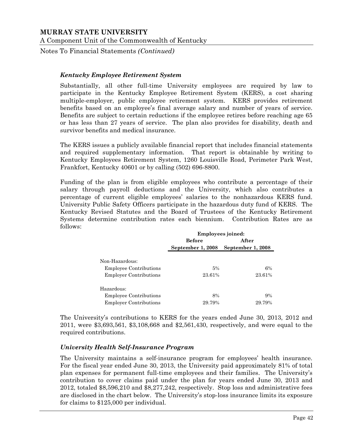Notes To Financial Statements *(Continued)*

#### *Kentucky Employee Retirement System*

Substantially, all other full-time University employees are required by law to participate in the Kentucky Employee Retirement System (KERS), a cost sharing multiple-employer, public employee retirement system. KERS provides retirement benefits based on an employee's final average salary and number of years of service. Benefits are subject to certain reductions if the employee retires before reaching age 65 or has less than 27 years of service. The plan also provides for disability, death and survivor benefits and medical insurance.

The KERS issues a publicly available financial report that includes financial statements and required supplementary information. That report is obtainable by writing to Kentucky Employees Retirement System, 1260 Louisville Road, Perimeter Park West, Frankfort, Kentucky 40601 or by calling (502) 696-8800.

Funding of the plan is from eligible employees who contribute a percentage of their salary through payroll deductions and the University, which also contributes a percentage of current eligible employees' salaries to the nonhazardous KERS fund. University Public Safety Officers participate in the hazardous duty fund of KERS. The Kentucky Revised Statutes and the Board of Trustees of the Kentucky Retirement Systems determine contribution rates each biennium. Contribution Rates are as follows:

|                               | <b>Employees joined:</b> |                   |  |  |  |
|-------------------------------|--------------------------|-------------------|--|--|--|
|                               | <b>Before</b>            | After             |  |  |  |
|                               | September 1, 2008        | September 1, 2008 |  |  |  |
| Non-Hazardous:                |                          |                   |  |  |  |
| <b>Employee Contributions</b> | 5%                       | 6%                |  |  |  |
| <b>Employer Contributions</b> | 23.61%                   | 23.61%            |  |  |  |
| Hazardous:                    |                          |                   |  |  |  |
| <b>Employee Contributions</b> | 8%                       | 9%                |  |  |  |
| <b>Employer Contributions</b> | 29.79%                   | 29.79%            |  |  |  |

The University's contributions to KERS for the years ended June 30, 2013, 2012 and 2011, were \$3,693,561, \$3,108,668 and \$2,561,430, respectively, and were equal to the required contributions.

#### *University Health Self-Insurance Program*

The University maintains a self-insurance program for employees' health insurance. For the fiscal year ended June 30, 2013, the University paid approximately 81% of total plan expenses for permanent full-time employees and their families. The University's contribution to cover claims paid under the plan for years ended June 30, 2013 and 2012, totaled \$8,596,210 and \$8,277,242, respectively. Stop loss and administrative fees are disclosed in the chart below. The University's stop-loss insurance limits its exposure for claims to \$125,000 per individual.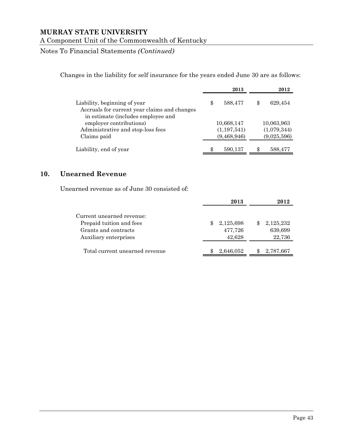A Component Unit of the Commonwealth of Kentucky

Notes To Financial Statements *(Continued)*

Changes in the liability for self insurance for the years ended June 30 are as follows:

|                                                                                                                    | 2013          | 2012        |
|--------------------------------------------------------------------------------------------------------------------|---------------|-------------|
| Liability, beginning of year<br>Accruals for current year claims and changes<br>in estimate (includes employee and | \$<br>588,477 | 629,454     |
| employer contributions)                                                                                            | 10,668,147    | 10,063,963  |
| Administrative and stop-loss fees                                                                                  | (1, 197, 541) | (1,079,344) |
| Claims paid                                                                                                        | (9,468,946)   | (9,025,596) |
| Liability, end of year                                                                                             | \$<br>590,137 | 588,477     |

# **10. Unearned Revenue**

Unearned revenue as of June 30 consisted of:

|                                                                                                        | 2013                                 | 2012                                 |
|--------------------------------------------------------------------------------------------------------|--------------------------------------|--------------------------------------|
| Current unearned revenue:<br>Prepaid tuition and fees<br>Grants and contracts<br>Auxiliary enterprises | 2,125,698<br>Ж,<br>477,726<br>42,628 | 2,125,232<br>\$<br>639,699<br>22,736 |
| Total current unearned revenue                                                                         | 2,646,052                            | 2,787,667                            |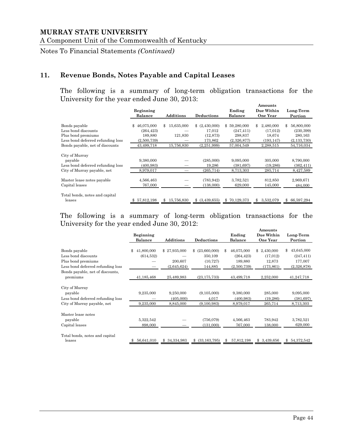A Component Unit of the Commonwealth of Kentucky

Notes To Financial Statements *(Continued)*

## **11. Revenue Bonds, Notes Payable and Capital Leases**

The following is a summary of long-term obligation transactions for the University for the year ended June 30, 2013:

|                                   |                  |                             |                              |                | Amounts         |                  |
|-----------------------------------|------------------|-----------------------------|------------------------------|----------------|-----------------|------------------|
|                                   | <b>Beginning</b> |                             |                              | Ending         | Due Within      | Long-Term        |
|                                   | <b>Balance</b>   | <b>Additions</b>            | <b>Deductions</b>            | <b>Balance</b> | <b>One Year</b> | Portion          |
|                                   |                  |                             |                              |                |                 |                  |
| Bonds payable                     | \$<br>46,075,000 | 15,635,000<br>$\mathbf{\$}$ | \$ (2,430,000)               | \$59,280,000   | 2,480,000<br>\$ | 56,800,000<br>\$ |
| Less bond discounts               | (264, 423)       |                             | 17,012                       | (247, 411)     | (17, 012)       | (230, 399)       |
| Plus bond premiums                | 189,880          | 121,830                     | (12, 873)                    | 298,837        | 18,674          | 280,163          |
| Less bond deferred refunding loss | (2,500,739)      |                             | 173,862                      | (2,326,877)    | (193, 147)      | (2, 133, 730)    |
| Bonds payable, net of discounts   | 43,499,718       | 15,756,830                  | (2,251,999)                  | 57,004,549     | 2,288,515       | 54,716,034       |
| City of Murray                    |                  |                             |                              |                |                 |                  |
| payable                           | 9,380,000        |                             | (285,000)                    | 9,095,000      | 305,000         | 8,790,000        |
| Less bond deferred refunding loss | (400, 983)       |                             | 19,286                       | (381, 697)     | (19,286)        | (362, 411)       |
| City of Murray payable, net       | 8,979,017        |                             | (265, 714)                   | 8,713,303      | 285,714         | 8,427,589        |
| Master lease notes payable        | 4,566,463        |                             | (783, 942)                   | 3,782,521      | 812,850         | 2,969,671        |
|                                   |                  |                             |                              |                |                 |                  |
| Capital leases                    | 767,000          |                             | (138,000)                    | 629,000        | 145,000         | 484,000          |
| Total bonds, notes and capital    |                  |                             |                              |                |                 |                  |
| leases                            | 57,812,198       | 15,756,830                  | (3,439,655)<br>$\mathbf{\$}$ | \$70,129,373   | 3,532,079<br>\$ | 66,597,294<br>\$ |

The following is a summary of long-term obligation transactions for the University for the year ended June 30, 2012: **Amounts**

|                                   | Beginning<br><b>Balance</b> | <b>Additions</b> | <b>Deductions</b>  | Ending<br><b>Balance</b> | Amounts<br>Due Within<br><b>One Year</b> | Long-Term         |
|-----------------------------------|-----------------------------|------------------|--------------------|--------------------------|------------------------------------------|-------------------|
|                                   |                             |                  |                    |                          |                                          | Portion           |
| Bonds payable                     | \$<br>41,800,000            | \$27,935,000     | \$<br>(23,660,000) | 46,075,000<br>\$         | \$2,430,000                              | 43,645,000<br>\$. |
| Less bond discounts               | (614, 532)                  |                  | 350,109            | (264, 423)               | (17, 012)                                | (247, 411)        |
| Plus bond premiums                |                             | 200,607          | (10, 727)          | 189,880                  | 12,873                                   | 177,007           |
| Less bond deferred refunding loss |                             | (2,645,624)      | 144,885            | (2,500,739)              | (173, 861)                               | (2,326,878)       |
| Bonds payable, net of discounts,  |                             |                  |                    |                          |                                          |                   |
| premiums                          | 41,185,468                  | 25,489,983       | (23, 175, 733)     | 43,499,718               | 2,252,000                                | 41,247,718        |
|                                   |                             |                  |                    |                          |                                          |                   |
| City of Murray                    |                             |                  |                    |                          |                                          |                   |
| payable                           | 9,235,000                   | 9,250,000        | (9,105,000)        | 9,380,000                | 285,000                                  | 9,095,000         |
| Less bond deferred refunding loss |                             | (405,000)        | 4,017              | (400, 983)               | (19, 286)                                | (381, 697)        |
| City of Murray payable, net       | 9,235,000                   | 8,845,000        | (9,100,983)        | 8,979,017                | 265,714                                  | 8,713,303         |
|                                   |                             |                  |                    |                          |                                          |                   |
| Master lease notes                |                             |                  |                    |                          |                                          |                   |
| payable                           | 5,322,542                   |                  | (756, 079)         | 4,566,463                | 783,942                                  | 3,782,521         |
| Capital leases                    | 898,000                     |                  | (131,000)          | 767,000                  | 138,000                                  | 629,000           |
|                                   |                             |                  |                    |                          |                                          |                   |
| Total bonds, notes and capital    |                             |                  |                    |                          |                                          |                   |
| leases                            | 56,641,010                  | \$34,334,983     | \$ (33, 163, 795)  | 57,812,198<br>\$.        | \$ 3,439,656                             | \$54,372,542      |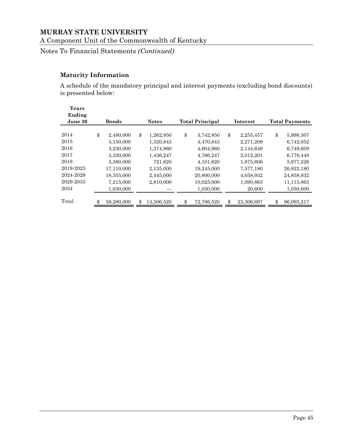A Component Unit of the Commonwealth of Kentucky

Notes To Financial Statements *(Continued)*

# **Maturity Information**

A schedule of the mandatory principal and interest payments (excluding bond discounts) is presented below:

| Years<br>Ending<br>June 30 | <b>Bonds</b>     | <b>Notes</b>     | <b>Total Principal</b> | Interest         | <b>Total Payments</b> |
|----------------------------|------------------|------------------|------------------------|------------------|-----------------------|
|                            |                  |                  |                        |                  |                       |
| 2014                       | \$<br>2,480,000  | \$<br>1,262,850  | \$<br>3,742,850        | \$<br>2,255,457  | \$<br>5,998,307       |
| 2015                       | 3,150,000        | 1,320,843        | 4,470,843              | 2,271,209        | 6,742,052             |
| 2016                       | 3,230,000        | 1,374,960        | 4,604,960              | 2,144,649        | 6,749,609             |
| 2017                       | 3,330,000        | 1,436,247        | 4,766,247              | 2,012,201        | 6,778,448             |
| 2018                       | 3,380,000        | 721,620          | 4,101,620              | 1,875,606        | 5,977,226             |
| 2019-2023                  | 17,110,000       | 2,135,000        | 19,245,000             | 7,577,180        | 26,822,180            |
| 2024-2028                  | 18,355,000       | 2,445,000        | 20,800,000             | 4,058,932        | 24,858,932            |
| 2029-2033                  | 7,215,000        | 2,810,000        | 10,025,000             | 1,090,863        | 11,115,863            |
| 2034                       | 1,030,000        |                  | 1,030,000              | 20,600           | 1,050,600             |
| Total                      | \$<br>59,280,000 | \$<br>13,506,520 | \$<br>72,786,520       | \$<br>23,306,697 | \$<br>96,093,217      |
|                            |                  |                  |                        |                  |                       |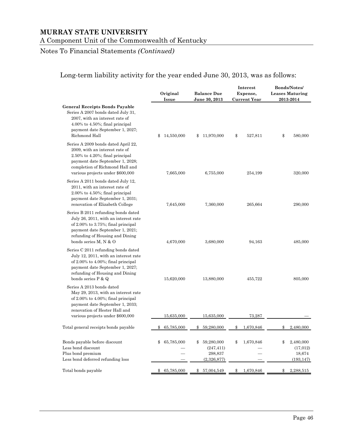A Component Unit of the Commonwealth of Kentucky

# Notes To Financial Statements *(Continued)*

# Long-term liability activity for the year ended June 30, 2013, was as follows:

|                                                                                                                                                                                                                                                                                     |                                  |                                                          | Interest                             | <b>Bonds/Notes/</b>                                  |
|-------------------------------------------------------------------------------------------------------------------------------------------------------------------------------------------------------------------------------------------------------------------------------------|----------------------------------|----------------------------------------------------------|--------------------------------------|------------------------------------------------------|
|                                                                                                                                                                                                                                                                                     | Original                         | <b>Balance Due</b>                                       | Expense,                             | <b>Leases Maturing</b>                               |
| <b>General Receipts Bonds Payable</b><br>Series A 2007 bonds dated July 31,<br>2007, with an interest rate of<br>$4.00\%$ to $4.50\%$ ; final principal<br>payment date September 1, 2027;<br>Richmond Hall                                                                         | <b>Issue</b><br>\$<br>14,550,000 | June 30, 2013<br>11,970,000<br>\$                        | <b>Current Year</b><br>\$<br>527,811 | 2013-2014<br>\$<br>580,000                           |
| Series A 2009 bonds dated April 22,<br>2009, with an interest rate of<br>$2.50\%$ to $4.20\%$ ; final principal<br>payment date September 1, 2028;<br>completion of Richmond Hall and<br>various projects under \$600,000                                                           | 7,665,000                        | 6,755,000                                                | 254,199                              | 320,000                                              |
| Series A 2011 bonds dated July 12,<br>2011, with an interest rate of<br>$2.00\%$ to $4.50\%$ ; final principal<br>payment date September 1, 2031;<br>renovation of Elizabeth College                                                                                                | 7,645,000                        | 7,360,000                                                | 265,664                              | 290,000                                              |
| Series B 2011 refunding bonds dated<br>July 26, 2011, with an interest rate<br>of $2.00\%$ to $3.75\%$ ; final principal<br>payment date September 1, 2021;<br>refunding of Housing and Dining<br>bonds series M, N & O                                                             | 4,670,000                        | 3,680,000                                                | 94,163                               | 485,000                                              |
| Series C 2011 refunding bonds dated<br>July 12, 2011, with an interest rate<br>of 2.00% to 4.00%; final principal<br>payment date September 1, 2027;<br>refunding of Housing and Dining<br>bonds series $P & Q$<br>Series A 2013 bonds dated<br>May 29, 2013, with an interest rate | 15,620,000                       | 13,880,000                                               | 455,722                              | 805,000                                              |
| of $2.00\%$ to $4.00\%$ ; final principal<br>payment date September 1, 2033;<br>renovation of Hester Hall and<br>various projects under \$600,000                                                                                                                                   | 15,635,000                       | 15,635,000                                               | 73,287                               |                                                      |
| Total general receipts bonds payable                                                                                                                                                                                                                                                | 65,785,000                       | \$<br>59,280,000                                         | \$<br>1,670,846                      | \$<br>2,480,000                                      |
| Bonds payable before discount<br>Less bond discount<br>Plus bond premium<br>Less bond deferred refunding loss                                                                                                                                                                       | 65,785,000<br>\$                 | 59,280,000<br>\$<br>(247, 411)<br>298,837<br>(2,326,877) | \$<br>1,670,846                      | \$<br>2,480,000<br>(17, 012)<br>18,674<br>(193, 147) |
| Total bonds payable                                                                                                                                                                                                                                                                 | \$<br>65,785,000                 | 57,004,549<br>\$                                         | 1,670,846<br>\$                      | 2,288,515<br>\$                                      |
|                                                                                                                                                                                                                                                                                     |                                  |                                                          |                                      |                                                      |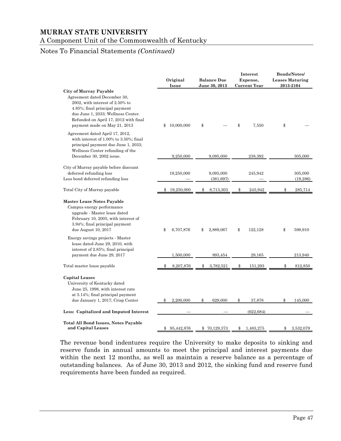A Component Unit of the Commonwealth of Kentucky

# Notes To Financial Statements *(Continued)*

|                                                                                                                                                                                                                                            | Original<br><b>Issue</b> | <b>Balance Due</b><br><b>June 30, 2013</b> | Interest<br>Expense,<br><b>Current Year</b> | <b>Bonds/Notes/</b><br><b>Leases Maturing</b><br>2013-2104 |
|--------------------------------------------------------------------------------------------------------------------------------------------------------------------------------------------------------------------------------------------|--------------------------|--------------------------------------------|---------------------------------------------|------------------------------------------------------------|
| City of Murray Payable<br>Agreement dated December 30,<br>2002, with interest of 2.50% to<br>4.85%; final principal payment<br>due June 1, 2033; Wellness Center.<br>Refunded on April 17, 2012 with final<br>payment made on May 21, 2013 | 10,000,000<br>\$         | \$                                         | \$<br>7,550                                 | \$                                                         |
| Agreement dated April 17, 2012,<br>with interest of 1.00% to 3.50%; final<br>principal payment due June 1, 2033;<br>Wellness Center refunding of the<br>December 30, 2002 issue.                                                           | 9,250,000                | 9,095,000                                  | 238,392                                     | 305,000                                                    |
|                                                                                                                                                                                                                                            |                          |                                            |                                             |                                                            |
| City of Murray payable before discount<br>deferred refunding loss<br>Less bond deferred refunding loss                                                                                                                                     | 19,250,000               | 9,095,000<br>(381, 697)                    | 245,942                                     | 305,000<br>(19, 286)                                       |
| Total City of Murray payable                                                                                                                                                                                                               | \$19,250,000             | \$<br>8,713,303                            | 245,942                                     | 285,714<br>\$                                              |
| <b>Master Lease Notes Payable</b><br>Campus energy performance<br>upgrade - Master lease dated<br>February 10, 2005, with interest of<br>3.94%; final principal payment<br>due August 10, 2017                                             | \$<br>6,707,876          | 2,889,067<br>\$                            | \$<br>122,128                               | \$<br>598,910                                              |
| Energy savings projects - Master<br>lease dated June 29, 2010, with<br>interest of 2.85%; final principal<br>payment due June 29, 2017                                                                                                     | 1,500,000                | 893,454                                    | 29,165                                      | 213,940                                                    |
| Total master lease payable                                                                                                                                                                                                                 | 8,207,876                | 3,782,521<br>\$                            | 151,293<br>\$                               | \$<br>812,850                                              |
| <b>Capital Leases</b><br>University of Kentucky dated<br>June 25, 1998, with interest rate<br>at 5.14%; final principal payment<br>due January 1, 2017; Crisp Center                                                                       | 2,200,000<br>\$          | \$<br>629,000                              | 37,878<br>\$                                | \$<br>145,000                                              |
| Less: Capitalized and Imputed Interest                                                                                                                                                                                                     |                          |                                            | (622, 684)                                  |                                                            |
| Total All Bond Issues, Notes Payable<br>and Capital Leases                                                                                                                                                                                 | \$<br>95,442,876         | 70,129,373<br>\$                           | 1,483,275<br>\$                             | \$<br>3,532,079                                            |

The revenue bond indentures require the University to make deposits to sinking and reserve funds in annual amounts to meet the principal and interest payments due within the next 12 months, as well as maintain a reserve balance as a percentage of outstanding balances. As of June 30, 2013 and 2012, the sinking fund and reserve fund requirements have been funded as required.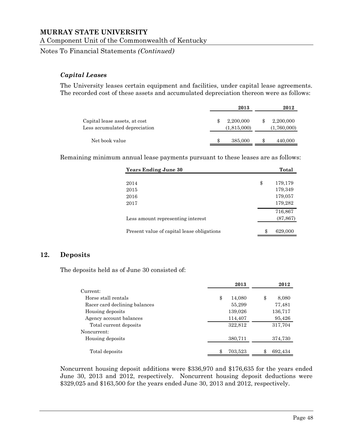A Component Unit of the Commonwealth of Kentucky

Notes To Financial Statements *(Continued)*

#### *Capital Leases*

The University leases certain equipment and facilities, under capital lease agreements. The recorded cost of these assets and accumulated depreciation thereon were as follows:

|                                                                | 2013                     |         | 2012 |                          |
|----------------------------------------------------------------|--------------------------|---------|------|--------------------------|
| Capital lease assets, at cost<br>Less accumulated depreciation | 2,200,000<br>(1,815,000) |         |      | 2,200,000<br>(1,760,000) |
| Net book value                                                 |                          | 385,000 | ٠D   | 440,000                  |

Remaining minimum annual lease payments pursuant to these leases are as follows:

| <b>Years Ending June 30</b>                | Total         |
|--------------------------------------------|---------------|
|                                            |               |
| 2014                                       | \$<br>179,179 |
| 2015                                       | 179,349       |
| 2016                                       | 179,057       |
| 2017                                       | 179,282       |
|                                            | 716,867       |
| Less amount representing interest          | (87, 867)     |
| Present value of capital lease obligations | \$<br>629,000 |

### **12. Deposits**

The deposits held as of June 30 consisted of:

|                               | 2013         | 2012        |
|-------------------------------|--------------|-------------|
| Current:                      |              |             |
| Horse stall rentals           | \$<br>14,080 | \$<br>8,080 |
| Racer card declining balances | 55,299       | 77,481      |
| Housing deposits              | 139,026      | 136,717     |
| Agency account balances       | 114,407      | 95,426      |
| Total current deposits        | 322,812      | 317,704     |
| Noncurrent:                   |              |             |
| Housing deposits              | 380,711      | 374,730     |
|                               |              |             |
| Total deposits                | 703,523      | 692,434     |

Noncurrent housing deposit additions were \$336,970 and \$176,635 for the years ended June 30, 2013 and 2012, respectively. Noncurrent housing deposit deductions were \$329,025 and \$163,500 for the years ended June 30, 2013 and 2012, respectively.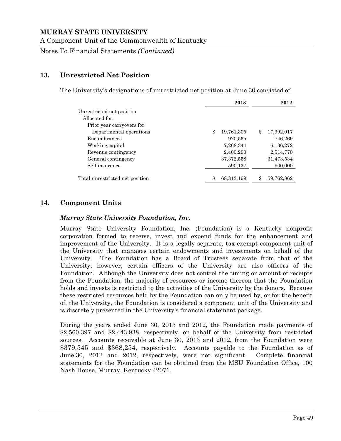A Component Unit of the Commonwealth of Kentucky

Notes To Financial Statements *(Continued)*

## **13. Unrestricted Net Position**

The University's designations of unrestricted net position at June 30 consisted of:

|                                 | 2013             | 2012             |
|---------------------------------|------------------|------------------|
| Unrestricted net position       |                  |                  |
| Allocated for:                  |                  |                  |
| Prior year carryovers for       |                  |                  |
| Departmental operations         | \$<br>19,761,305 | \$<br>17,992,017 |
| Encumbrances                    | 920,565          | 746,269          |
| Working capital                 | 7,268,344        | 6,136,272        |
| Revenue contingency             | 2,400,290        | 2,514,770        |
| General contingency             | 37, 372, 558     | 31,473,534       |
| Self insurance                  | 590,137          | 900,000          |
| Total unrestricted net position | \$<br>68,313,199 | 59,762,862       |
|                                 |                  |                  |

### **14. Component Units**

#### *Murray State University Foundation, Inc.*

Murray State University Foundation, Inc. (Foundation) is a Kentucky nonprofit corporation formed to receive, invest and expend funds for the enhancement and improvement of the University. It is a legally separate, tax-exempt component unit of the University that manages certain endowments and investments on behalf of the University. The Foundation has a Board of Trustees separate from that of the University; however, certain officers of the University are also officers of the Foundation. Although the University does not control the timing or amount of receipts from the Foundation, the majority of resources or income thereon that the Foundation holds and invests is restricted to the activities of the University by the donors. Because these restricted resources held by the Foundation can only be used by, or for the benefit of, the University, the Foundation is considered a component unit of the University and is discretely presented in the University's financial statement package.

During the years ended June 30, 2013 and 2012, the Foundation made payments of \$2,560,397 and \$2,443,938, respectively, on behalf of the University from restricted sources. Accounts receivable at June 30, 2013 and 2012, from the Foundation were \$379,545 and \$368,254, respectively. Accounts payable to the Foundation as of June 30, 2013 and 2012, respectively, were not significant. Complete financial statements for the Foundation can be obtained from the MSU Foundation Office, 100 Nash House, Murray, Kentucky 42071.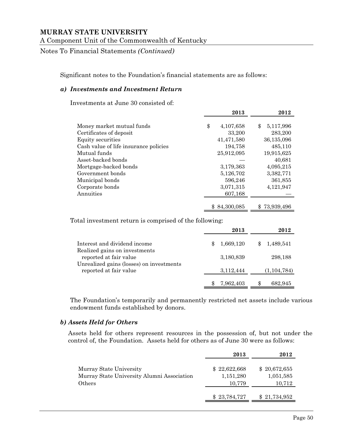A Component Unit of the Commonwealth of Kentucky

Notes To Financial Statements *(Continued)*

Significant notes to the Foundation's financial statements are as follows:

#### *a) Investments and Investment Return*

Investments at June 30 consisted of:

|                                       | 2013            | 2012             |
|---------------------------------------|-----------------|------------------|
|                                       |                 |                  |
| Money market mutual funds             | \$<br>4,107,658 | 5,117,996<br>\$  |
| Certificates of deposit               | 33,200          | 283,200          |
| Equity securities                     | 41,471,580      | 36,135,096       |
| Cash value of life insurance policies | 194,758         | 485,110          |
| Mutual funds                          | 25,912,095      | 19,915,625       |
| Asset-backed bonds                    |                 | 40,681           |
| Mortgage-backed bonds                 | 3,179,363       | 4,095,215        |
| Government bonds                      | 5,126,702       | 3,382,771        |
| Municipal bonds                       | 596,246         | 361,855          |
| Corporate bonds                       | 3,071,315       | 4,121,947        |
| Annuities                             | 607,168         |                  |
|                                       | \$84,300,085    | 73,939,496<br>\$ |

Total investment return is comprised of the following:

|                                                                    | 2013            | 2012        |
|--------------------------------------------------------------------|-----------------|-------------|
| Interest and dividend income                                       | \$<br>1,669,120 | 1,489,541   |
| Realized gains on investments<br>reported at fair value            | 3,180,839       | 298,188     |
| Unrealized gains (losses) on investments<br>reported at fair value | 3,112,444       | (1,104,784) |
|                                                                    | 7,962,403       | 682,945     |

The Foundation's temporarily and permanently restricted net assets include various endowment funds established by donors.

#### *b) Assets Held for Others*

Assets held for others represent resources in the possession of, but not under the control of, the Foundation. Assets held for others as of June 30 were as follows:

|                                            | 2013         | 2012         |
|--------------------------------------------|--------------|--------------|
| Murray State University                    | \$22,622,668 | \$20,672,655 |
| Murray State University Alumni Association | 1,151,280    | 1,051,585    |
| Others                                     | 10,779       | 10,712       |
|                                            | \$23,784,727 | \$21,734,952 |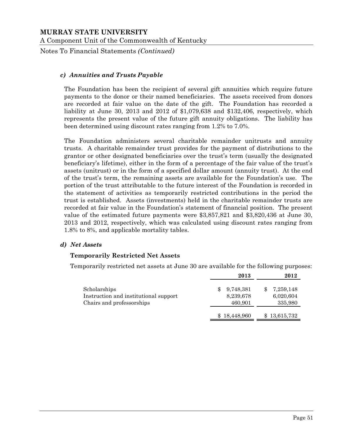Notes To Financial Statements *(Continued)*

#### *c) Annuities and Trusts Payable*

The Foundation has been the recipient of several gift annuities which require future payments to the donor or their named beneficiaries. The assets received from donors are recorded at fair value on the date of the gift. The Foundation has recorded a liability at June 30, 2013 and 2012 of \$1,079,638 and \$132,406, respectively, which represents the present value of the future gift annuity obligations. The liability has been determined using discount rates ranging from 1.2% to 7.0%.

The Foundation administers several charitable remainder unitrusts and annuity trusts. A charitable remainder trust provides for the payment of distributions to the grantor or other designated beneficiaries over the trust's term (usually the designated beneficiary's lifetime), either in the form of a percentage of the fair value of the trust's assets (unitrust) or in the form of a specified dollar amount (annuity trust). At the end of the trust's term, the remaining assets are available for the Foundation's use. The portion of the trust attributable to the future interest of the Foundation is recorded in the statement of activities as temporarily restricted contributions in the period the trust is established. Assets (investments) held in the charitable remainder trusts are recorded at fair value in the Foundation's statement of financial position. The present value of the estimated future payments were \$3,857,821 and \$3,820,436 at June 30, 2013 and 2012, respectively, which was calculated using discount rates ranging from 1.8% to 8%, and applicable mortality tables.

#### *d) Net Assets*

### **Temporarily Restricted Net Assets**

Temporarily restricted net assets at June 30 are available for the following purposes:

|                                       |            | 2013    | 2012         |
|---------------------------------------|------------|---------|--------------|
| Scholarships                          | 9,748,381  |         | 7,259,148    |
| Instruction and institutional support | 8,239,678  |         | 6,020,604    |
| Chairs and professorships             |            | 460,901 | 335,980      |
|                                       | 18,448,960 |         | \$13,615,732 |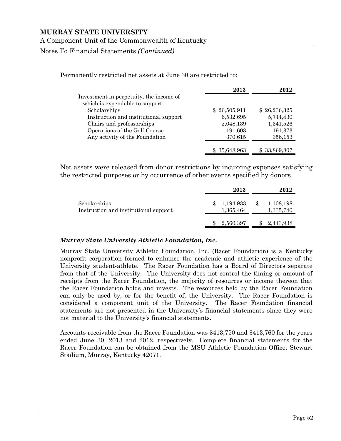Notes To Financial Statements *(Continued)*

Permanently restricted net assets at June 30 are restricted to:

|                                         | 2013         | 2012         |
|-----------------------------------------|--------------|--------------|
| Investment in perpetuity, the income of |              |              |
| which is expendable to support:         |              |              |
| Scholarships                            | \$26,505,911 | \$26,236,325 |
| Instruction and institutional support   | 6,532,695    | 5,744,430    |
| Chairs and professorships               | 2,048,139    | 1,341,526    |
| Operations of the Golf Course           | 191,603      | 191,373      |
| Any activity of the Foundation          | 370,615      | 356,153      |
|                                         | \$35,648,963 | \$33,869,807 |

Net assets were released from donor restrictions by incurring expenses satisfying the restricted purposes or by occurrence of other events specified by donors.

|                                                       | 2013                   |    | 2012                   |  |
|-------------------------------------------------------|------------------------|----|------------------------|--|
| Scholarships<br>Instruction and institutional support | 1,194,933<br>1,365,464 | \$ | 1,108,198<br>1,335,740 |  |
|                                                       | 2,560,397              |    | 2,443,938              |  |

### *Murray State University Athletic Foundation, Inc.*

Murray State University Athletic Foundation, Inc. (Racer Foundation) is a Kentucky nonprofit corporation formed to enhance the academic and athletic experience of the University student-athlete. The Racer Foundation has a Board of Directors separate from that of the University. The University does not control the timing or amount of receipts from the Racer Foundation, the majority of resources or income thereon that the Racer Foundation holds and invests. The resources held by the Racer Foundation can only be used by, or for the benefit of, the University. The Racer Foundation is considered a component unit of the University. The Racer Foundation financial statements are not presented in the University's financial statements since they were not material to the University's financial statements.

Accounts receivable from the Racer Foundation was \$413,750 and \$413,760 for the years ended June 30, 2013 and 2012, respectively. Complete financial statements for the Racer Foundation can be obtained from the MSU Athletic Foundation Office, Stewart Stadium, Murray, Kentucky 42071.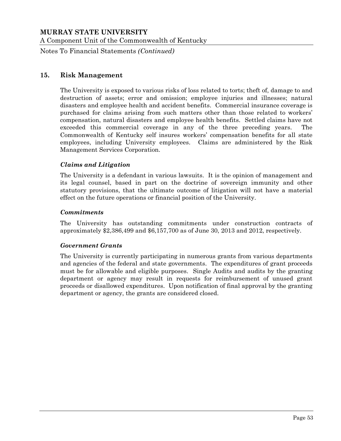Notes To Financial Statements *(Continued)*

#### **15. Risk Management**

The University is exposed to various risks of loss related to torts; theft of, damage to and destruction of assets; error and omission; employee injuries and illnesses; natural disasters and employee health and accident benefits. Commercial insurance coverage is purchased for claims arising from such matters other than those related to workers' compensation, natural disasters and employee health benefits. Settled claims have not exceeded this commercial coverage in any of the three preceding years. The Commonwealth of Kentucky self insures workers' compensation benefits for all state employees, including University employees. Claims are administered by the Risk Management Services Corporation.

#### *Claims and Litigation*

The University is a defendant in various lawsuits. It is the opinion of management and its legal counsel, based in part on the doctrine of sovereign immunity and other statutory provisions, that the ultimate outcome of litigation will not have a material effect on the future operations or financial position of the University.

#### *Commitments*

The University has outstanding commitments under construction contracts of approximately \$2,386,499 and \$6,157,700 as of June 30, 2013 and 2012, respectively.

#### *Government Grants*

The University is currently participating in numerous grants from various departments and agencies of the federal and state governments. The expenditures of grant proceeds must be for allowable and eligible purposes. Single Audits and audits by the granting department or agency may result in requests for reimbursement of unused grant proceeds or disallowed expenditures. Upon notification of final approval by the granting department or agency, the grants are considered closed.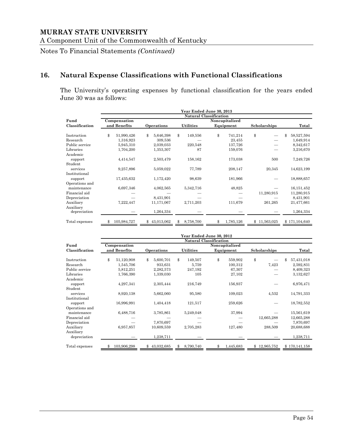Notes To Financial Statements *(Continued)*

# **16. Natural Expense Classifications with Functional Classifications**

The University's operating expenses by functional classification for the years ended June 30 was as follows:

|                           | Year Ended June 30, 2013 |             |            |                                                 |                  |           |           |           |              |            |       |               |
|---------------------------|--------------------------|-------------|------------|-------------------------------------------------|------------------|-----------|-----------|-----------|--------------|------------|-------|---------------|
| Fund                      | Compensation             |             |            | <b>Natural Classification</b><br>Noncapitalized |                  |           |           |           |              |            |       |               |
| Classification            | and Benefits             |             | Operations |                                                 | <b>Utilities</b> |           | Equipment |           | Scholarships |            | Total |               |
| Instruction               | \$                       | 51,990,426  | \$         | 5,646,398                                       | \$               | 149,556   | \$        | 741,214   | \$           |            | \$    | 58,527,594    |
| Research                  |                          | 1,316,923   |            | 309,536                                         |                  |           |           | 23,455    |              |            |       | 1,649,914     |
| Public service            |                          | 5,945,310   |            | 2,039,033                                       |                  | 220,548   |           | 137,726   |              |            |       | 8,342,617     |
| Libraries                 |                          | 1,704,200   |            | 1,353,307                                       |                  | 87        |           | 159,076   |              |            |       | 3,216,670     |
| Academic                  |                          |             |            |                                                 |                  |           |           |           |              |            |       |               |
| support                   |                          | 4,414,547   |            | 2,503,479                                       |                  | 158,162   |           | 173,038   |              | 500        |       | 7,249,726     |
| Student                   |                          |             |            |                                                 |                  |           |           |           |              |            |       |               |
| services                  |                          | 9,257,896   |            | 5,059,022                                       |                  | 77,789    |           | 208,147   |              | 20,345     |       | 14,623,199    |
| Institutional             |                          |             |            |                                                 |                  |           |           |           |              |            |       |               |
| support                   |                          | 17,435,632  |            | 1,172,420                                       |                  | 98,639    |           | 181,966   |              |            |       | 18,888,657    |
| Operations and            |                          |             |            |                                                 |                  |           |           |           |              |            |       |               |
| maintenance               |                          | 6,697,346   |            | 4,062,565                                       |                  | 5,342,716 |           | 48,825    |              |            |       | 16,151,452    |
| Financial aid             |                          |             |            |                                                 |                  |           |           |           |              | 11,280,915 |       | 11,280,915    |
| Depreciation              |                          |             |            | 8,431,901                                       |                  |           |           |           |              |            |       | 8,431,901     |
| Auxiliary                 |                          | 7,222,447   |            | 11,171,067                                      |                  | 2,711,203 |           | 111,679   |              | 261,265    |       | 21,477,661    |
| Auxiliary<br>depreciation |                          |             |            | 1,264,334                                       |                  |           |           |           |              |            |       | 1,264,334     |
| Total expenses            | \$                       | 105,984,727 | \$         | 43,013,062                                      | \$               | 8,758,700 | \$        | 1,785,126 | \$           | 11,563,025 |       | \$171,104,640 |

|                        | Year Ended June 30, 2012<br><b>Natural Classification</b> |                  |                  |                 |                  |                  |  |  |  |  |
|------------------------|-----------------------------------------------------------|------------------|------------------|-----------------|------------------|------------------|--|--|--|--|
|                        |                                                           |                  |                  |                 |                  |                  |  |  |  |  |
| Fund<br>Classification | Compensation                                              | Noncapitalized   |                  |                 |                  |                  |  |  |  |  |
|                        | and Benefits                                              | Operations       | <b>Utilities</b> | Equipment       | Scholarships     | Total            |  |  |  |  |
| Instruction            | \$<br>51,120,908                                          | \$<br>5,600,701  | \$<br>149,507    | \$<br>559,902   | \$               | \$<br>57,431,018 |  |  |  |  |
| Research               | 1,545,706                                                 | 933.631          | 5,759            | 100,312         | 7,423            | 2,592,831        |  |  |  |  |
| Public service         | 5,812,251                                                 | 2,282,573        | 247,192          | 67,307          |                  | 8,409,323        |  |  |  |  |
| Libraries              | 1,766,390                                                 | 1,339,030        | 105              | 27,102          |                  | 3,132,627        |  |  |  |  |
| Academic               |                                                           |                  |                  |                 |                  |                  |  |  |  |  |
| support                | 4,297,341                                                 | 2,305,444        | 216,749          | 156,937         |                  | 6,976,471        |  |  |  |  |
| Student                |                                                           |                  |                  |                 |                  |                  |  |  |  |  |
| services               | 8,920,138                                                 | 5,662,060        | 95,580           | 109,023         | 4,532            | 14,791,333       |  |  |  |  |
| Institutional          |                                                           |                  |                  |                 |                  |                  |  |  |  |  |
| support                | 16,996,991                                                | 1,404,418        | 121,517          | 259,626         |                  | 18,782,552       |  |  |  |  |
| Operations and         |                                                           |                  |                  |                 |                  |                  |  |  |  |  |
| maintenance            | 6,488,716                                                 | 3,785,861        | 5,249,048        | 37,994          |                  | 15,561,619       |  |  |  |  |
| Financial aid          |                                                           |                  |                  |                 | 12,665,288       | 12,665,288       |  |  |  |  |
| Depreciation           |                                                           | 7,870,697        |                  |                 |                  | 7,870,697        |  |  |  |  |
| Auxiliary              | 6,957,857                                                 | 10,609,559       | 2,705,283        | 127,480         | 288,509          | 20,688,688       |  |  |  |  |
| Auxiliary              |                                                           |                  |                  |                 |                  |                  |  |  |  |  |
| depreciation           |                                                           | 1,238,711        |                  |                 |                  | 1,238,711        |  |  |  |  |
| Total expenses         | 103,906,298                                               | 43,032,685<br>\$ | 8,790,740<br>\$  | \$<br>1,445,683 | \$<br>12,965,752 | \$170,141,158    |  |  |  |  |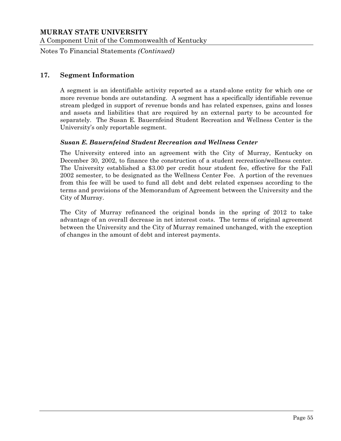Notes To Financial Statements *(Continued)*

## **17. Segment Information**

A segment is an identifiable activity reported as a stand-alone entity for which one or more revenue bonds are outstanding. A segment has a specifically identifiable revenue stream pledged in support of revenue bonds and has related expenses, gains and losses and assets and liabilities that are required by an external party to be accounted for separately. The Susan E. Bauernfeind Student Recreation and Wellness Center is the University's only reportable segment.

#### *Susan E. Bauernfeind Student Recreation and Wellness Center*

The University entered into an agreement with the City of Murray, Kentucky on December 30, 2002, to finance the construction of a student recreation/wellness center. The University established a \$3.00 per credit hour student fee, effective for the Fall 2002 semester, to be designated as the Wellness Center Fee. A portion of the revenues from this fee will be used to fund all debt and debt related expenses according to the terms and provisions of the Memorandum of Agreement between the University and the City of Murray.

The City of Murray refinanced the original bonds in the spring of 2012 to take advantage of an overall decrease in net interest costs. The terms of original agreement between the University and the City of Murray remained unchanged, with the exception of changes in the amount of debt and interest payments.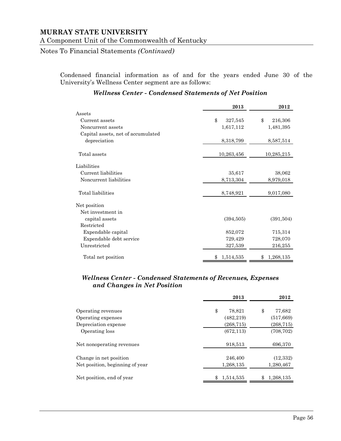A Component Unit of the Commonwealth of Kentucky

Notes To Financial Statements *(Continued)*

Condensed financial information as of and for the years ended June 30 of the University's Wellness Center segment are as follows:

|                                    | 2013            | 2012            |
|------------------------------------|-----------------|-----------------|
| Assets                             |                 |                 |
| Current assets                     | \$<br>327,545   | \$<br>216,306   |
| Noncurrent assets                  | 1,617,112       | 1,481,395       |
| Capital assets, net of accumulated |                 |                 |
| depreciation                       | 8,318,799       | 8,587,514       |
| Total assets                       | 10,263,456      | 10,285,215      |
| Liabilities                        |                 |                 |
| Current liabilities                | 35,617          | 38,062          |
| Noncurrent liabilities             | 8,713,304       | 8,979,018       |
| Total liabilities                  | 8,748,921       | 9,017,080       |
| Net position                       |                 |                 |
| Net investment in                  |                 |                 |
| capital assets                     | (394, 505)      | (391,504)       |
| Restricted                         |                 |                 |
| Expendable capital                 | 852,072         | 715,314         |
| Expendable debt service            | 729,429         | 728,070         |
| Unrestricted                       | 327,539         | 216,255         |
| Total net position                 | 1,514,535<br>\$ | 1,268,135<br>\$ |

#### *Wellness Center - Condensed Statements of Net Position*

#### *Wellness Center - Condensed Statements of Revenues, Expenses and Changes in Net Position*

|                                 | 2013            | 2012            |
|---------------------------------|-----------------|-----------------|
| Operating revenues              | \$<br>78,821    | \$<br>77,682    |
| Operating expenses              | (482, 219)      | (517, 669)      |
| Depreciation expense            | (268, 715)      | (268, 715)      |
| Operating loss                  | (672, 113)      | (708, 702)      |
| Net nonoperating revenues       | 918,513         | 696,370         |
| Change in net position          | 246,400         | (12, 332)       |
| Net position, beginning of year | 1,268,135       | 1,280,467       |
| Net position, end of year       | 1,514,535<br>\$ | 1,268,135<br>\$ |